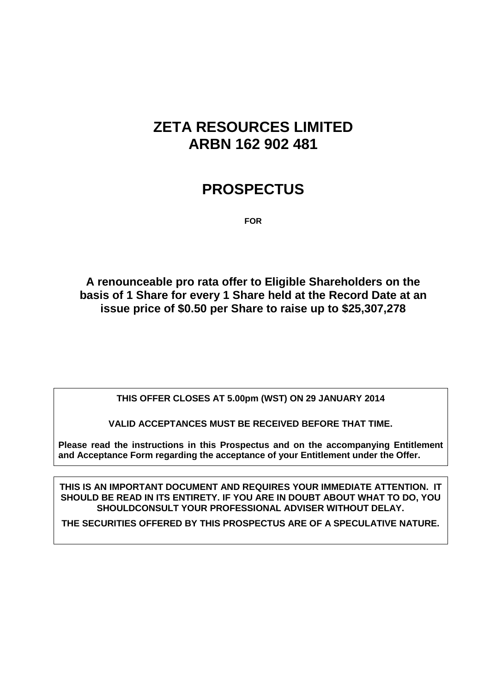# **ZETA RESOURCES LIMITED ARBN 162 902 481**

# **PROSPECTUS**

**FOR**

**A renounceable pro rata offer to Eligible Shareholders on the basis of 1 Share for every 1 Share held at the Record Date at an issue price of \$0.50 per Share to raise up to \$25,307,278**

**THIS OFFER CLOSES AT 5.00pm (WST) ON 29 JANUARY 2014**

**VALID ACCEPTANCES MUST BE RECEIVED BEFORE THAT TIME.**

**Please read the instructions in this Prospectus and on the accompanying Entitlement and Acceptance Form regarding the acceptance of your Entitlement under the Offer.**

**THIS IS AN IMPORTANT DOCUMENT AND REQUIRES YOUR IMMEDIATE ATTENTION. IT SHOULD BE READ IN ITS ENTIRETY. IF YOU ARE IN DOUBT ABOUT WHAT TO DO, YOU SHOULDCONSULT YOUR PROFESSIONAL ADVISER WITHOUT DELAY.**

**THE SECURITIES OFFERED BY THIS PROSPECTUS ARE OF A SPECULATIVE NATURE.**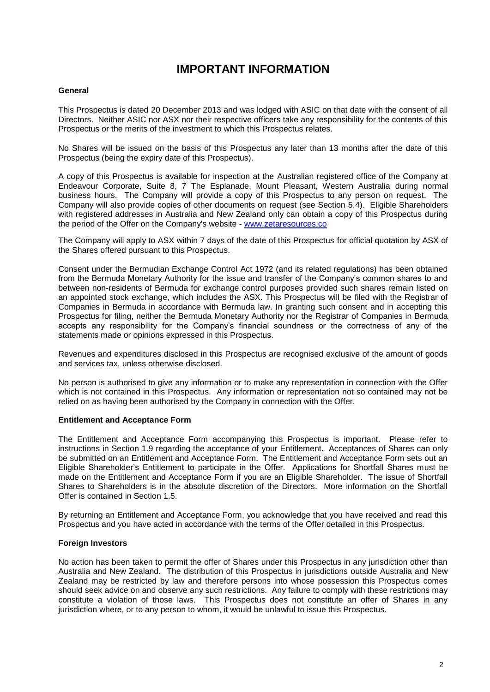### **IMPORTANT INFORMATION**

#### **General**

This Prospectus is dated 20 December 2013 and was lodged with ASIC on that date with the consent of all Directors. Neither ASIC nor ASX nor their respective officers take any responsibility for the contents of this Prospectus or the merits of the investment to which this Prospectus relates.

No Shares will be issued on the basis of this Prospectus any later than 13 months after the date of this Prospectus (being the expiry date of this Prospectus).

A copy of this Prospectus is available for inspection at the Australian registered office of the Company at Endeavour Corporate, Suite 8, 7 The Esplanade, Mount Pleasant, Western Australia during normal business hours. The Company will provide a copy of this Prospectus to any person on request. The Company will also provide copies of other documents on request (see Section [5.4\)](#page-29-0). Eligible Shareholders with registered addresses in Australia and New Zealand only can obtain a copy of this Prospectus during the period of the Offer on the Company's website - [www.zetaresources.co](http://www.zetaresources.co/)

The Company will apply to ASX within 7 days of the date of this Prospectus for official quotation by ASX of the Shares offered pursuant to this Prospectus.

Consent under the Bermudian Exchange Control Act 1972 (and its related regulations) has been obtained from the Bermuda Monetary Authority for the issue and transfer of the Company's common shares to and between non-residents of Bermuda for exchange control purposes provided such shares remain listed on an appointed stock exchange, which includes the ASX. This Prospectus will be filed with the Registrar of Companies in Bermuda in accordance with Bermuda law. In granting such consent and in accepting this Prospectus for filing, neither the Bermuda Monetary Authority nor the Registrar of Companies in Bermuda accepts any responsibility for the Company's financial soundness or the correctness of any of the statements made or opinions expressed in this Prospectus.

Revenues and expenditures disclosed in this Prospectus are recognised exclusive of the amount of goods and services tax, unless otherwise disclosed.

No person is authorised to give any information or to make any representation in connection with the Offer which is not contained in this Prospectus. Any information or representation not so contained may not be relied on as having been authorised by the Company in connection with the Offer.

#### **Entitlement and Acceptance Form**

The Entitlement and Acceptance Form accompanying this Prospectus is important. Please refer to instructions in Section [1.9](#page-9-0) regarding the acceptance of your Entitlement. Acceptances of Shares can only be submitted on an Entitlement and Acceptance Form. The Entitlement and Acceptance Form sets out an Eligible Shareholder's Entitlement to participate in the Offer. Applications for Shortfall Shares must be made on the Entitlement and Acceptance Form if you are an Eligible Shareholder. The issue of Shortfall Shares to Shareholders is in the absolute discretion of the Directors. More information on the Shortfall Offer is contained in Section [1.5.](#page-9-1)

By returning an Entitlement and Acceptance Form, you acknowledge that you have received and read this Prospectus and you have acted in accordance with the terms of the Offer detailed in this Prospectus.

#### **Foreign Investors**

No action has been taken to permit the offer of Shares under this Prospectus in any jurisdiction other than Australia and New Zealand. The distribution of this Prospectus in jurisdictions outside Australia and New Zealand may be restricted by law and therefore persons into whose possession this Prospectus comes should seek advice on and observe any such restrictions. Any failure to comply with these restrictions may constitute a violation of those laws. This Prospectus does not constitute an offer of Shares in any jurisdiction where, or to any person to whom, it would be unlawful to issue this Prospectus.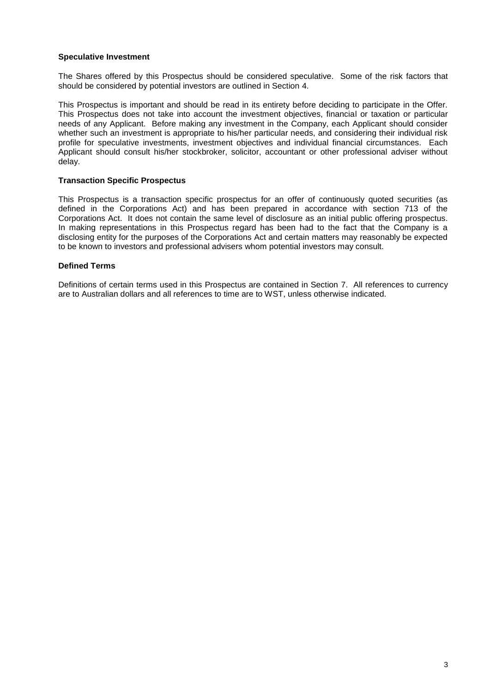#### **Speculative Investment**

The Shares offered by this Prospectus should be considered speculative. Some of the risk factors that should be considered by potential investors are outlined in Section [4.](#page-17-0)

This Prospectus is important and should be read in its entirety before deciding to participate in the Offer. This Prospectus does not take into account the investment objectives, financial or taxation or particular needs of any Applicant. Before making any investment in the Company, each Applicant should consider whether such an investment is appropriate to his/her particular needs, and considering their individual risk profile for speculative investments, investment objectives and individual financial circumstances. Each Applicant should consult his/her stockbroker, solicitor, accountant or other professional adviser without delay.

#### **Transaction Specific Prospectus**

This Prospectus is a transaction specific prospectus for an offer of continuously quoted securities (as defined in the Corporations Act) and has been prepared in accordance with section 713 of the Corporations Act. It does not contain the same level of disclosure as an initial public offering prospectus. In making representations in this Prospectus regard has been had to the fact that the Company is a disclosing entity for the purposes of the Corporations Act and certain matters may reasonably be expected to be known to investors and professional advisers whom potential investors may consult.

#### **Defined Terms**

Definitions of certain terms used in this Prospectus are contained in Section [7.](#page-34-0) All references to currency are to Australian dollars and all references to time are to WST, unless otherwise indicated.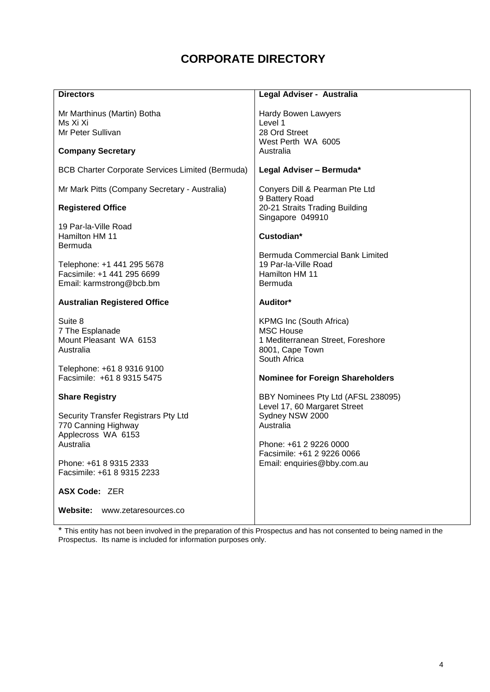## **CORPORATE DIRECTORY**

| <b>Directors</b>                                                                                                                                                                           | Legal Adviser - Australia                                                                                                                                                                         |
|--------------------------------------------------------------------------------------------------------------------------------------------------------------------------------------------|---------------------------------------------------------------------------------------------------------------------------------------------------------------------------------------------------|
| Mr Marthinus (Martin) Botha<br>Ms Xi Xi<br>Mr Peter Sullivan<br><b>Company Secretary</b>                                                                                                   | Hardy Bowen Lawyers<br>Level 1<br>28 Ord Street<br>West Perth WA 6005<br>Australia                                                                                                                |
| <b>BCB Charter Corporate Services Limited (Bermuda)</b>                                                                                                                                    | Legal Adviser - Bermuda*                                                                                                                                                                          |
| Mr Mark Pitts (Company Secretary - Australia)<br><b>Registered Office</b><br>19 Par-la-Ville Road<br>Hamilton HM 11<br>Bermuda<br>Telephone: +1 441 295 5678<br>Facsimile: +1 441 295 6699 | Conyers Dill & Pearman Pte Ltd<br>9 Battery Road<br>20-21 Straits Trading Building<br>Singapore 049910<br>Custodian*<br>Bermuda Commercial Bank Limited<br>19 Par-la-Ville Road<br>Hamilton HM 11 |
| Email: karmstrong@bcb.bm<br><b>Australian Registered Office</b>                                                                                                                            | Bermuda<br>Auditor*                                                                                                                                                                               |
| Suite 8<br>7 The Esplanade<br>Mount Pleasant WA 6153<br>Australia<br>Telephone: +61 8 9316 9100                                                                                            | KPMG Inc (South Africa)<br><b>MSC House</b><br>1 Mediterranean Street, Foreshore<br>8001, Cape Town<br>South Africa                                                                               |
| Facsimile: +61 8 9315 5475                                                                                                                                                                 | <b>Nominee for Foreign Shareholders</b>                                                                                                                                                           |
| <b>Share Registry</b><br>Security Transfer Registrars Pty Ltd<br>770 Canning Highway<br>Applecross WA 6153<br>Australia<br>Phone: +61 8 9315 2333<br>Facsimile: +61 8 9315 2233            | BBY Nominees Pty Ltd (AFSL 238095)<br>Level 17, 60 Margaret Street<br>Sydney NSW 2000<br>Australia<br>Phone: +61 2 9226 0000<br>Facsimile: +61 2 9226 0066<br>Email: enquiries@bby.com.au         |
| ASX Code: ZER                                                                                                                                                                              |                                                                                                                                                                                                   |
| Website:<br>www.zetaresources.co                                                                                                                                                           |                                                                                                                                                                                                   |

\* This entity has not been involved in the preparation of this Prospectus and has not consented to being named in the Prospectus. Its name is included for information purposes only.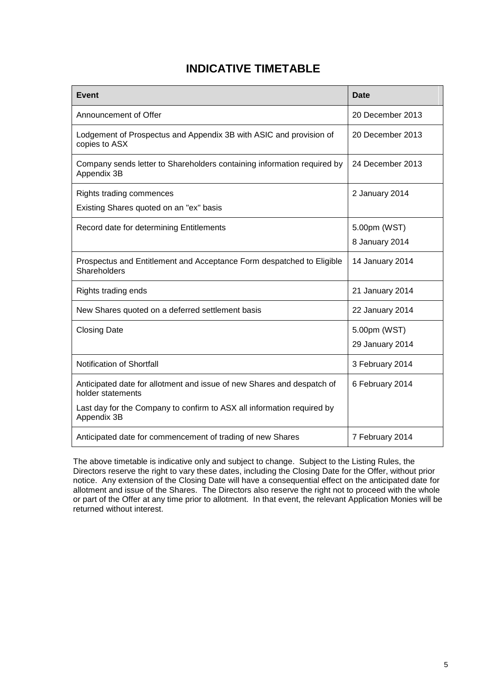### **INDICATIVE TIMETABLE**

| <b>Event</b>                                                                                 | <b>Date</b>      |
|----------------------------------------------------------------------------------------------|------------------|
| Announcement of Offer                                                                        | 20 December 2013 |
| Lodgement of Prospectus and Appendix 3B with ASIC and provision of<br>copies to ASX          | 20 December 2013 |
| Company sends letter to Shareholders containing information required by<br>Appendix 3B       | 24 December 2013 |
| Rights trading commences                                                                     | 2 January 2014   |
| Existing Shares quoted on an "ex" basis                                                      |                  |
| Record date for determining Entitlements                                                     | 5.00pm (WST)     |
|                                                                                              | 8 January 2014   |
| Prospectus and Entitlement and Acceptance Form despatched to Eligible<br><b>Shareholders</b> | 14 January 2014  |
| Rights trading ends                                                                          | 21 January 2014  |
| New Shares quoted on a deferred settlement basis                                             | 22 January 2014  |
| <b>Closing Date</b>                                                                          | 5.00pm (WST)     |
|                                                                                              | 29 January 2014  |
| Notification of Shortfall                                                                    | 3 February 2014  |
| Anticipated date for allotment and issue of new Shares and despatch of<br>holder statements  | 6 February 2014  |
| Last day for the Company to confirm to ASX all information required by<br>Appendix 3B        |                  |
| Anticipated date for commencement of trading of new Shares                                   | 7 February 2014  |

The above timetable is indicative only and subject to change. Subject to the Listing Rules, the Directors reserve the right to vary these dates, including the Closing Date for the Offer, without prior notice. Any extension of the Closing Date will have a consequential effect on the anticipated date for allotment and issue of the Shares. The Directors also reserve the right not to proceed with the whole or part of the Offer at any time prior to allotment. In that event, the relevant Application Monies will be returned without interest.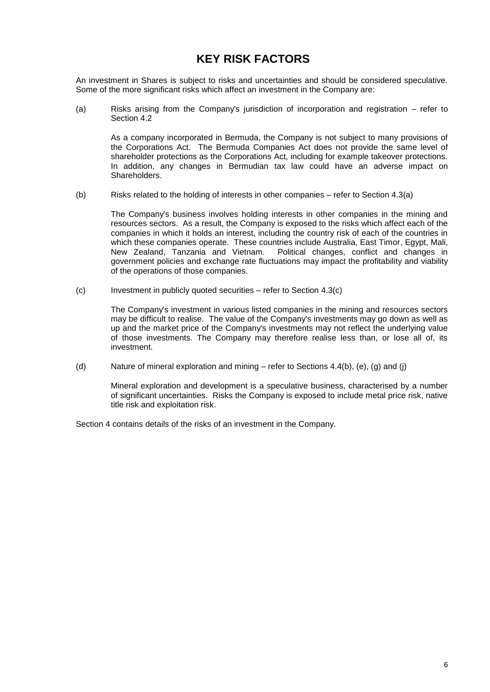### **KEY RISK FACTORS**

An investment in Shares is subject to risks and uncertainties and should be considered speculative. Some of the more significant risks which affect an investment in the Company are:

(a) Risks arising from the Company's jurisdiction of incorporation and registration – refer to Section [4.2](#page-18-0)

As a company incorporated in Bermuda, the Company is not subject to many provisions of the Corporations Act. The Bermuda Companies Act does not provide the same level of shareholder protections as the Corporations Act, including for example takeover protections. In addition, any changes in Bermudian tax law could have an adverse impact on Shareholders.

(b) Risks related to the holding of interests in other companies – refer to Section [4.3\(a\)](#page-18-1)

The Company's business involves holding interests in other companies in the mining and resources sectors. As a result, the Company is exposed to the risks which affect each of the companies in which it holds an interest, including the country risk of each of the countries in which these companies operate. These countries include Australia, East Timor, Egypt, Mali,<br>New Zealand, Tanzania and Vietnam. Political changes, conflict and changes in Political changes, conflict and changes in government policies and exchange rate fluctuations may impact the profitability and viability of the operations of those companies.

(c) Investment in publicly quoted securities – refer to Section [4.3\(c\)](#page-19-0)

The Company's investment in various listed companies in the mining and resources sectors may be difficult to realise. The value of the Company's investments may go down as well as up and the market price of the Company's investments may not reflect the underlying value of those investments. The Company may therefore realise less than, or lose all of, its investment.

(d) Nature of mineral exploration and mining – refer to Sections [4.4\(b\),](#page-20-0) [\(e\),](#page-21-0) [\(g\)](#page-22-0) and [\(j\)](#page-23-0)

Mineral exploration and development is a speculative business, characterised by a number of significant uncertainties. Risks the Company is exposed to include metal price risk, native title risk and exploitation risk.

Section [4](#page-17-0) contains details of the risks of an investment in the Company.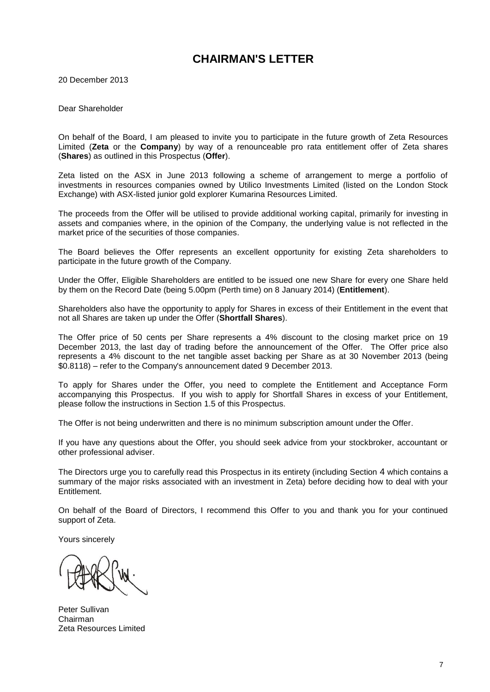### **CHAIRMAN'S LETTER**

20 December 2013

Dear Shareholder

On behalf of the Board, I am pleased to invite you to participate in the future growth of Zeta Resources Limited (**Zeta** or the **Company**) by way of a renounceable pro rata entitlement offer of Zeta shares (**Shares**) as outlined in this Prospectus (**Offer**).

Zeta listed on the ASX in June 2013 following a scheme of arrangement to merge a portfolio of investments in resources companies owned by Utilico Investments Limited (listed on the London Stock Exchange) with ASX-listed junior gold explorer Kumarina Resources Limited.

The proceeds from the Offer will be utilised to provide additional working capital, primarily for investing in assets and companies where, in the opinion of the Company, the underlying value is not reflected in the market price of the securities of those companies.

The Board believes the Offer represents an excellent opportunity for existing Zeta shareholders to participate in the future growth of the Company.

Under the Offer, Eligible Shareholders are entitled to be issued one new Share for every one Share held by them on the Record Date (being 5.00pm (Perth time) on 8 January 2014) (**Entitlement**).

Shareholders also have the opportunity to apply for Shares in excess of their Entitlement in the event that not all Shares are taken up under the Offer (**Shortfall Shares**).

The Offer price of 50 cents per Share represents a 4% discount to the closing market price on 19 December 2013, the last day of trading before the announcement of the Offer. The Offer price also represents a 4% discount to the net tangible asset backing per Share as at 30 November 2013 (being \$0.8118) – refer to the Company's announcement dated 9 December 2013.

To apply for Shares under the Offer, you need to complete the Entitlement and Acceptance Form accompanying this Prospectus. If you wish to apply for Shortfall Shares in excess of your Entitlement, please follow the instructions in Section [1.5](#page-9-1) of this Prospectus.

The Offer is not being underwritten and there is no minimum subscription amount under the Offer.

If you have any questions about the Offer, you should seek advice from your stockbroker, accountant or other professional adviser.

The Directors urge you to carefully read this Prospectus in its entirety (including Section [4](#page-18-2) which contains a summary of the major risks associated with an investment in Zeta) before deciding how to deal with your Entitlement.

On behalf of the Board of Directors, I recommend this Offer to you and thank you for your continued support of Zeta.

Yours sincerely

Peter Sullivan Chairman Zeta Resources Limited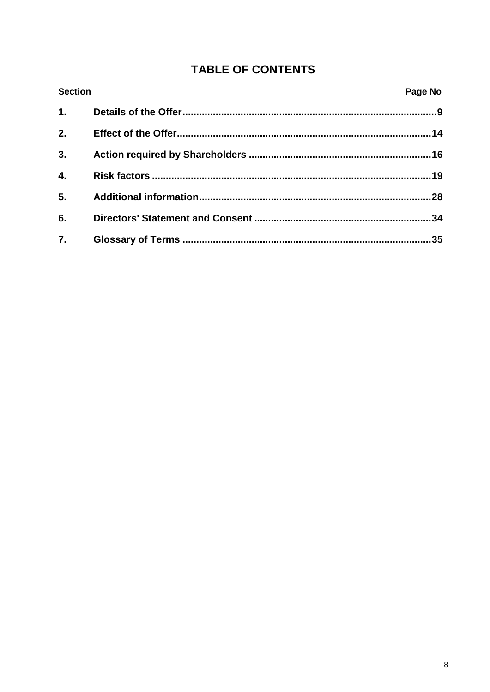## **TABLE OF CONTENTS**

| <b>Section</b> | Page No |
|----------------|---------|
| 1.             |         |
| 2.             |         |
| 3.             |         |
| 4.             |         |
| 5.             |         |
| 6.             | .34     |
| 7.             |         |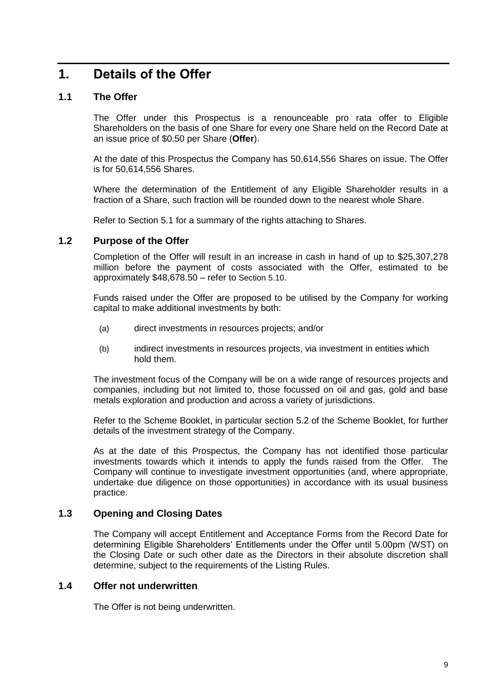## <span id="page-8-0"></span>**1. Details of the Offer**

#### <span id="page-8-1"></span>**1.1 The Offer**

The Offer under this Prospectus is a renounceable pro rata offer to Eligible Shareholders on the basis of one Share for every one Share held on the Record Date at an issue price of \$0.50 per Share (**Offer**).

At the date of this Prospectus the Company has 50,614,556 Shares on issue. The Offer is for 50,614,556 Shares.

Where the determination of the Entitlement of any Eligible Shareholder results in a fraction of a Share, such fraction will be rounded down to the nearest whole Share.

Refer to Section [5.1](#page-27-1) for a summary of the rights attaching to Shares.

#### **1.2 Purpose of the Offer**

Completion of the Offer will result in an increase in cash in hand of up to \$25,307,278 million before the payment of costs associated with the Offer, estimated to be approximately \$48,678.50 – refer to Section [5.10](#page-31-0).

Funds raised under the Offer are proposed to be utilised by the Company for working capital to make additional investments by both:

- (a) direct investments in resources projects; and/or
- (b) indirect investments in resources projects, via investment in entities which hold them.

The investment focus of the Company will be on a wide range of resources projects and companies, including but not limited to, those focussed on oil and gas, gold and base metals exploration and production and across a variety of jurisdictions.

Refer to the Scheme Booklet, in particular section 5.2 of the Scheme Booklet, for further details of the investment strategy of the Company.

As at the date of this Prospectus, the Company has not identified those particular investments towards which it intends to apply the funds raised from the Offer. The Company will continue to investigate investment opportunities (and, where appropriate, undertake due diligence on those opportunities) in accordance with its usual business practice.

#### **1.3 Opening and Closing Dates**

The Company will accept Entitlement and Acceptance Forms from the Record Date for determining Eligible Shareholders' Entitlements under the Offer until 5.00pm (WST) on the Closing Date or such other date as the Directors in their absolute discretion shall determine, subject to the requirements of the Listing Rules.

#### **1.4 Offer not underwritten**

The Offer is not being underwritten.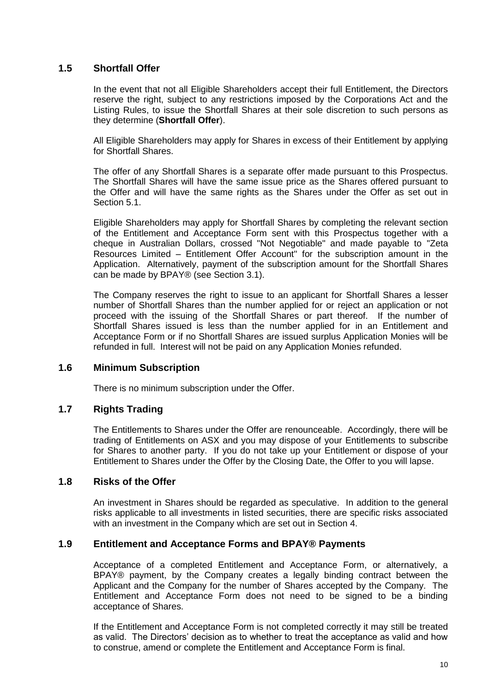#### <span id="page-9-1"></span>**1.5 Shortfall Offer**

In the event that not all Eligible Shareholders accept their full Entitlement, the Directors reserve the right, subject to any restrictions imposed by the Corporations Act and the Listing Rules, to issue the Shortfall Shares at their sole discretion to such persons as they determine (**Shortfall Offer**).

All Eligible Shareholders may apply for Shares in excess of their Entitlement by applying for Shortfall Shares.

The offer of any Shortfall Shares is a separate offer made pursuant to this Prospectus. The Shortfall Shares will have the same issue price as the Shares offered pursuant to the Offer and will have the same rights as the Shares under the Offer as set out in Section [5.1.](#page-27-1)

Eligible Shareholders may apply for Shortfall Shares by completing the relevant section of the Entitlement and Acceptance Form sent with this Prospectus together with a cheque in Australian Dollars, crossed "Not Negotiable" and made payable to "Zeta Resources Limited – Entitlement Offer Account" for the subscription amount in the Application. Alternatively, payment of the subscription amount for the Shortfall Shares can be made by BPAY® (see Section [3.1\)](#page-15-1).

The Company reserves the right to issue to an applicant for Shortfall Shares a lesser number of Shortfall Shares than the number applied for or reject an application or not proceed with the issuing of the Shortfall Shares or part thereof. If the number of Shortfall Shares issued is less than the number applied for in an Entitlement and Acceptance Form or if no Shortfall Shares are issued surplus Application Monies will be refunded in full. Interest will not be paid on any Application Monies refunded.

#### **1.6 Minimum Subscription**

There is no minimum subscription under the Offer.

#### **1.7 Rights Trading**

The Entitlements to Shares under the Offer are renounceable. Accordingly, there will be trading of Entitlements on ASX and you may dispose of your Entitlements to subscribe for Shares to another party. If you do not take up your Entitlement or dispose of your Entitlement to Shares under the Offer by the Closing Date, the Offer to you will lapse.

#### **1.8 Risks of the Offer**

An investment in Shares should be regarded as speculative. In addition to the general risks applicable to all investments in listed securities, there are specific risks associated with an investment in the Company which are set out in Section [4.](#page-18-2)

#### <span id="page-9-0"></span>**1.9 Entitlement and Acceptance Forms and BPAY® Payments**

Acceptance of a completed Entitlement and Acceptance Form, or alternatively, a BPAY® payment, by the Company creates a legally binding contract between the Applicant and the Company for the number of Shares accepted by the Company. The Entitlement and Acceptance Form does not need to be signed to be a binding acceptance of Shares.

If the Entitlement and Acceptance Form is not completed correctly it may still be treated as valid. The Directors' decision as to whether to treat the acceptance as valid and how to construe, amend or complete the Entitlement and Acceptance Form is final.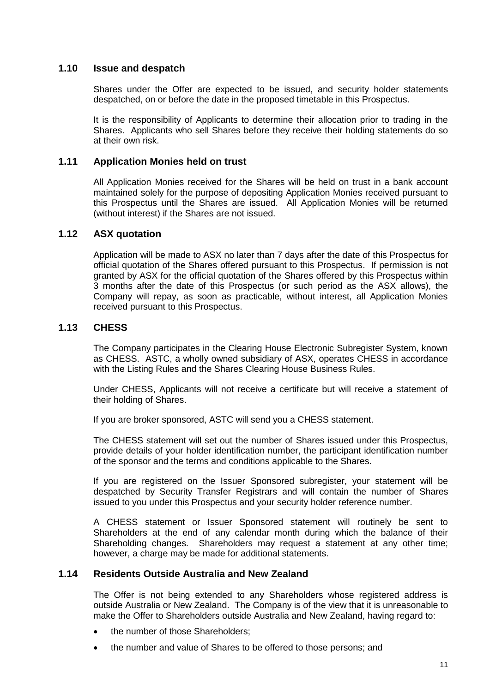#### **1.10 Issue and despatch**

Shares under the Offer are expected to be issued, and security holder statements despatched, on or before the date in the proposed timetable in this Prospectus.

It is the responsibility of Applicants to determine their allocation prior to trading in the Shares. Applicants who sell Shares before they receive their holding statements do so at their own risk.

#### **1.11 Application Monies held on trust**

All Application Monies received for the Shares will be held on trust in a bank account maintained solely for the purpose of depositing Application Monies received pursuant to this Prospectus until the Shares are issued. All Application Monies will be returned (without interest) if the Shares are not issued.

#### **1.12 ASX quotation**

Application will be made to ASX no later than 7 days after the date of this Prospectus for official quotation of the Shares offered pursuant to this Prospectus. If permission is not granted by ASX for the official quotation of the Shares offered by this Prospectus within 3 months after the date of this Prospectus (or such period as the ASX allows), the Company will repay, as soon as practicable, without interest, all Application Monies received pursuant to this Prospectus.

#### **1.13 CHESS**

The Company participates in the Clearing House Electronic Subregister System, known as CHESS. ASTC, a wholly owned subsidiary of ASX, operates CHESS in accordance with the Listing Rules and the Shares Clearing House Business Rules.

Under CHESS, Applicants will not receive a certificate but will receive a statement of their holding of Shares.

If you are broker sponsored, ASTC will send you a CHESS statement.

The CHESS statement will set out the number of Shares issued under this Prospectus, provide details of your holder identification number, the participant identification number of the sponsor and the terms and conditions applicable to the Shares.

If you are registered on the Issuer Sponsored subregister, your statement will be despatched by Security Transfer Registrars and will contain the number of Shares issued to you under this Prospectus and your security holder reference number.

A CHESS statement or Issuer Sponsored statement will routinely be sent to Shareholders at the end of any calendar month during which the balance of their Shareholding changes. Shareholders may request a statement at any other time; however, a charge may be made for additional statements.

#### **1.14 Residents Outside Australia and New Zealand**

The Offer is not being extended to any Shareholders whose registered address is outside Australia or New Zealand. The Company is of the view that it is unreasonable to make the Offer to Shareholders outside Australia and New Zealand, having regard to:

- the number of those Shareholders;
- the number and value of Shares to be offered to those persons; and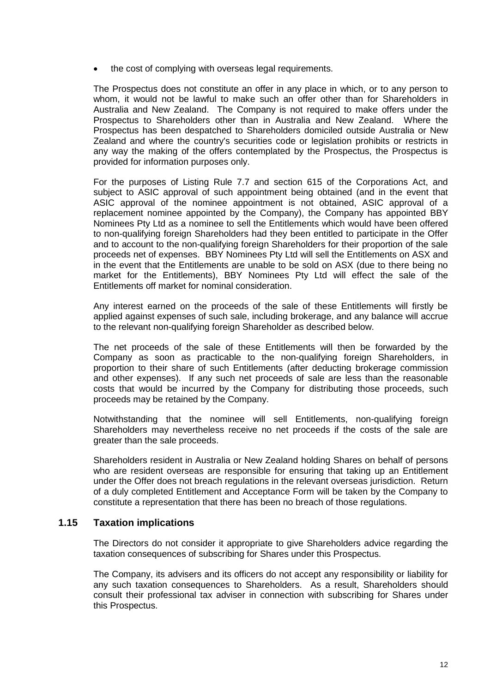• the cost of complying with overseas legal requirements.

The Prospectus does not constitute an offer in any place in which, or to any person to whom, it would not be lawful to make such an offer other than for Shareholders in Australia and New Zealand. The Company is not required to make offers under the Prospectus to Shareholders other than in Australia and New Zealand. Where the Prospectus has been despatched to Shareholders domiciled outside Australia or New Zealand and where the country's securities code or legislation prohibits or restricts in any way the making of the offers contemplated by the Prospectus, the Prospectus is provided for information purposes only.

For the purposes of Listing Rule 7.7 and section 615 of the Corporations Act, and subject to ASIC approval of such appointment being obtained (and in the event that ASIC approval of the nominee appointment is not obtained, ASIC approval of a replacement nominee appointed by the Company), the Company has appointed BBY Nominees Pty Ltd as a nominee to sell the Entitlements which would have been offered to non-qualifying foreign Shareholders had they been entitled to participate in the Offer and to account to the non-qualifying foreign Shareholders for their proportion of the sale proceeds net of expenses. BBY Nominees Pty Ltd will sell the Entitlements on ASX and in the event that the Entitlements are unable to be sold on ASX (due to there being no market for the Entitlements), BBY Nominees Pty Ltd will effect the sale of the Entitlements off market for nominal consideration.

Any interest earned on the proceeds of the sale of these Entitlements will firstly be applied against expenses of such sale, including brokerage, and any balance will accrue to the relevant non-qualifying foreign Shareholder as described below.

The net proceeds of the sale of these Entitlements will then be forwarded by the Company as soon as practicable to the non-qualifying foreign Shareholders, in proportion to their share of such Entitlements (after deducting brokerage commission and other expenses). If any such net proceeds of sale are less than the reasonable costs that would be incurred by the Company for distributing those proceeds, such proceeds may be retained by the Company.

Notwithstanding that the nominee will sell Entitlements, non-qualifying foreign Shareholders may nevertheless receive no net proceeds if the costs of the sale are greater than the sale proceeds.

Shareholders resident in Australia or New Zealand holding Shares on behalf of persons who are resident overseas are responsible for ensuring that taking up an Entitlement under the Offer does not breach regulations in the relevant overseas jurisdiction. Return of a duly completed Entitlement and Acceptance Form will be taken by the Company to constitute a representation that there has been no breach of those regulations.

#### **1.15 Taxation implications**

The Directors do not consider it appropriate to give Shareholders advice regarding the taxation consequences of subscribing for Shares under this Prospectus.

The Company, its advisers and its officers do not accept any responsibility or liability for any such taxation consequences to Shareholders. As a result, Shareholders should consult their professional tax adviser in connection with subscribing for Shares under this Prospectus.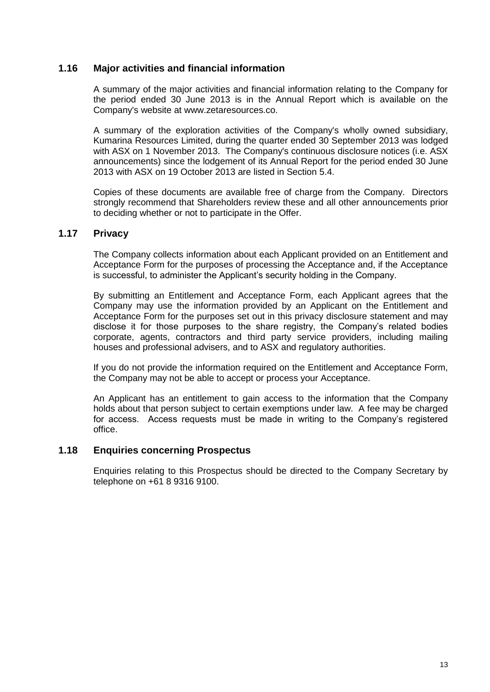#### **1.16 Major activities and financial information**

A summary of the major activities and financial information relating to the Company for the period ended 30 June 2013 is in the Annual Report which is available on the Company's website at www.zetaresources.co.

A summary of the exploration activities of the Company's wholly owned subsidiary, Kumarina Resources Limited, during the quarter ended 30 September 2013 was lodged with ASX on 1 November 2013. The Company's continuous disclosure notices (i.e. ASX announcements) since the lodgement of its Annual Report for the period ended 30 June 2013 with ASX on 19 October 2013 are listed in Section [5.4.](#page-29-0)

Copies of these documents are available free of charge from the Company. Directors strongly recommend that Shareholders review these and all other announcements prior to deciding whether or not to participate in the Offer.

#### **1.17 Privacy**

The Company collects information about each Applicant provided on an Entitlement and Acceptance Form for the purposes of processing the Acceptance and, if the Acceptance is successful, to administer the Applicant's security holding in the Company.

By submitting an Entitlement and Acceptance Form, each Applicant agrees that the Company may use the information provided by an Applicant on the Entitlement and Acceptance Form for the purposes set out in this privacy disclosure statement and may disclose it for those purposes to the share registry, the Company's related bodies corporate, agents, contractors and third party service providers, including mailing houses and professional advisers, and to ASX and regulatory authorities.

If you do not provide the information required on the Entitlement and Acceptance Form, the Company may not be able to accept or process your Acceptance.

An Applicant has an entitlement to gain access to the information that the Company holds about that person subject to certain exemptions under law. A fee may be charged for access. Access requests must be made in writing to the Company's registered office.

#### **1.18 Enquiries concerning Prospectus**

Enquiries relating to this Prospectus should be directed to the Company Secretary by telephone on +61 8 9316 9100.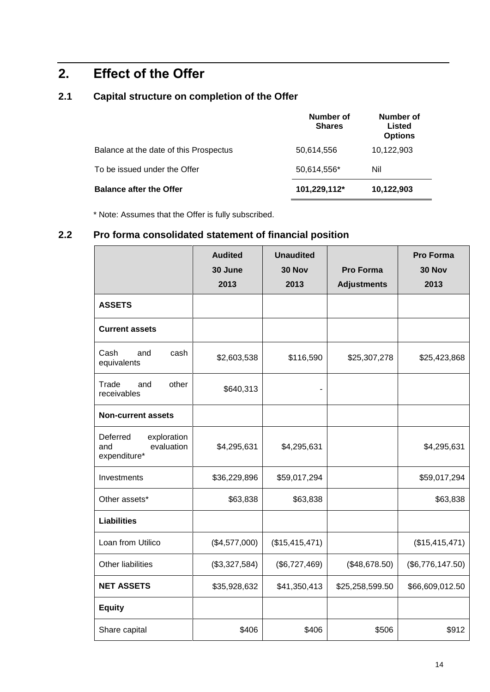# <span id="page-13-0"></span>**2. Effect of the Offer**

### **2.1 Capital structure on completion of the Offer**

|                                        | Number of<br><b>Shares</b> | Number of<br>Listed<br><b>Options</b> |
|----------------------------------------|----------------------------|---------------------------------------|
| Balance at the date of this Prospectus | 50,614,556                 | 10,122,903                            |
| To be issued under the Offer           | 50,614,556*                | Nil                                   |
| <b>Balance after the Offer</b>         | 101,229,112*               | 10,122,903                            |

\* Note: Assumes that the Offer is fully subscribed.

### **2.2 Pro forma consolidated statement of financial position**

|                                                              | <b>Audited</b><br>30 June<br>2013 | <b>Unaudited</b><br>30 Nov<br>2013 | <b>Pro Forma</b><br><b>Adjustments</b> | <b>Pro Forma</b><br>30 Nov<br>2013 |
|--------------------------------------------------------------|-----------------------------------|------------------------------------|----------------------------------------|------------------------------------|
| <b>ASSETS</b>                                                |                                   |                                    |                                        |                                    |
| <b>Current assets</b>                                        |                                   |                                    |                                        |                                    |
| Cash<br>and<br>cash<br>equivalents                           | \$2,603,538                       | \$116,590                          | \$25,307,278                           | \$25,423,868                       |
| Trade<br>other<br>and<br>receivables                         | \$640,313                         | $\overline{a}$                     |                                        |                                    |
| <b>Non-current assets</b>                                    |                                   |                                    |                                        |                                    |
| Deferred<br>exploration<br>evaluation<br>and<br>expenditure* | \$4,295,631                       | \$4,295,631                        |                                        | \$4,295,631                        |
| Investments                                                  | \$36,229,896                      | \$59,017,294                       |                                        | \$59,017,294                       |
| Other assets*                                                | \$63,838                          | \$63,838                           |                                        | \$63,838                           |
| <b>Liabilities</b>                                           |                                   |                                    |                                        |                                    |
| Loan from Utilico                                            | (\$4,577,000)                     | (\$15,415,471)                     |                                        | (\$15,415,471)                     |
| Other liabilities                                            | (\$3,327,584)                     | (\$6,727,469)                      | (\$48,678.50)                          | (\$6,776,147.50)                   |
| <b>NET ASSETS</b>                                            | \$35,928,632                      | \$41,350,413                       | \$25,258,599.50                        | \$66,609,012.50                    |
| <b>Equity</b>                                                |                                   |                                    |                                        |                                    |
| Share capital                                                | \$406                             | \$406                              | \$506                                  | \$912                              |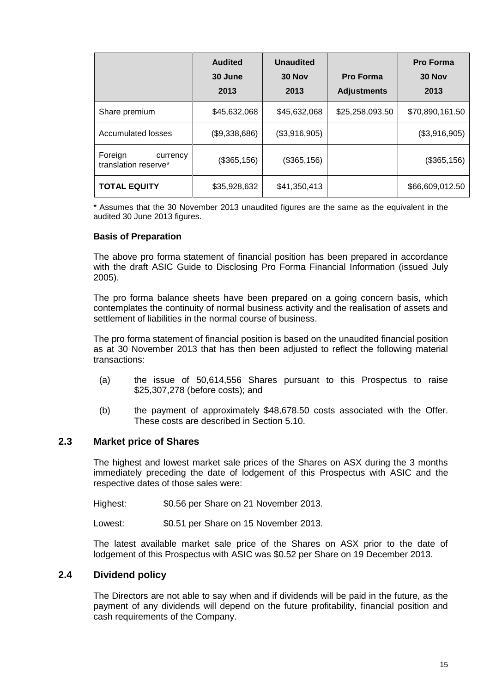|                                             | <b>Audited</b><br>30 June<br>2013 | <b>Unaudited</b><br>30 Nov<br>2013 | <b>Pro Forma</b><br><b>Adjustments</b> | <b>Pro Forma</b><br>30 Nov<br>2013 |
|---------------------------------------------|-----------------------------------|------------------------------------|----------------------------------------|------------------------------------|
| Share premium                               | \$45,632,068                      | \$45,632,068                       | \$25,258,093.50                        | \$70,890,161.50                    |
| Accumulated losses                          | (\$9,338,686)                     | (\$3,916,905)                      |                                        | (\$3,916,905)                      |
| Foreign<br>currency<br>translation reserve* | (\$365, 156)                      | (\$365,156)                        |                                        | (\$365, 156)                       |
| <b>TOTAL EQUITY</b>                         | \$35,928,632                      | \$41,350,413                       |                                        | \$66,609,012.50                    |

\* Assumes that the 30 November 2013 unaudited figures are the same as the equivalent in the audited 30 June 2013 figures.

#### **Basis of Preparation**

The above pro forma statement of financial position has been prepared in accordance with the draft ASIC Guide to Disclosing Pro Forma Financial Information (issued July 2005).

The pro forma balance sheets have been prepared on a going concern basis, which contemplates the continuity of normal business activity and the realisation of assets and settlement of liabilities in the normal course of business.

The pro forma statement of financial position is based on the unaudited financial position as at 30 November 2013 that has then been adjusted to reflect the following material transactions:

- (a) the issue of 50,614,556 Shares pursuant to this Prospectus to raise \$25,307,278 (before costs); and
- (b) the payment of approximately \$48,678.50 costs associated with the Offer. These costs are described in Section [5.10.](#page-31-0)

#### **2.3 Market price of Shares**

The highest and lowest market sale prices of the Shares on ASX during the 3 months immediately preceding the date of lodgement of this Prospectus with ASIC and the respective dates of those sales were:

Highest: \$0.56 per Share on 21 November 2013.

Lowest: \$0.51 per Share on 15 November 2013.

The latest available market sale price of the Shares on ASX prior to the date of lodgement of this Prospectus with ASIC was \$0.52 per Share on 19 December 2013.

#### **2.4 Dividend policy**

The Directors are not able to say when and if dividends will be paid in the future, as the payment of any dividends will depend on the future profitability, financial position and cash requirements of the Company.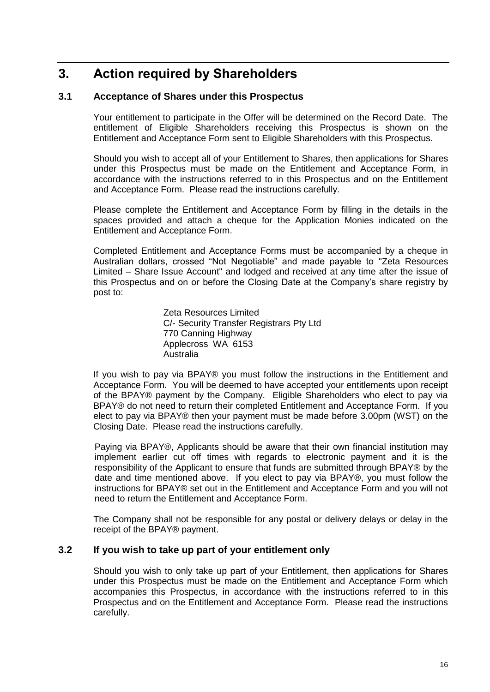## <span id="page-15-0"></span>**3. Action required by Shareholders**

#### <span id="page-15-1"></span>**3.1 Acceptance of Shares under this Prospectus**

Your entitlement to participate in the Offer will be determined on the Record Date. The entitlement of Eligible Shareholders receiving this Prospectus is shown on the Entitlement and Acceptance Form sent to Eligible Shareholders with this Prospectus.

Should you wish to accept all of your Entitlement to Shares, then applications for Shares under this Prospectus must be made on the Entitlement and Acceptance Form, in accordance with the instructions referred to in this Prospectus and on the Entitlement and Acceptance Form. Please read the instructions carefully.

Please complete the Entitlement and Acceptance Form by filling in the details in the spaces provided and attach a cheque for the Application Monies indicated on the Entitlement and Acceptance Form.

Completed Entitlement and Acceptance Forms must be accompanied by a cheque in Australian dollars, crossed "Not Negotiable" and made payable to "Zeta Resources Limited – Share Issue Account" and lodged and received at any time after the issue of this Prospectus and on or before the Closing Date at the Company's share registry by post to:

> Zeta Resources Limited C/- Security Transfer Registrars Pty Ltd 770 Canning Highway Applecross WA 6153 Australia

If you wish to pay via BPAY® you must follow the instructions in the Entitlement and Acceptance Form. You will be deemed to have accepted your entitlements upon receipt of the BPAY® payment by the Company. Eligible Shareholders who elect to pay via BPAY® do not need to return their completed Entitlement and Acceptance Form. If you elect to pay via BPAY® then your payment must be made before 3.00pm (WST) on the Closing Date. Please read the instructions carefully.

Paying via BPAY®, Applicants should be aware that their own financial institution may implement earlier cut off times with regards to electronic payment and it is the responsibility of the Applicant to ensure that funds are submitted through BPAY® by the date and time mentioned above. If you elect to pay via BPAY®, you must follow the instructions for BPAY® set out in the Entitlement and Acceptance Form and you will not need to return the Entitlement and Acceptance Form.

The Company shall not be responsible for any postal or delivery delays or delay in the receipt of the BPAY® payment.

#### **3.2 If you wish to take up part of your entitlement only**

Should you wish to only take up part of your Entitlement, then applications for Shares under this Prospectus must be made on the Entitlement and Acceptance Form which accompanies this Prospectus, in accordance with the instructions referred to in this Prospectus and on the Entitlement and Acceptance Form. Please read the instructions carefully.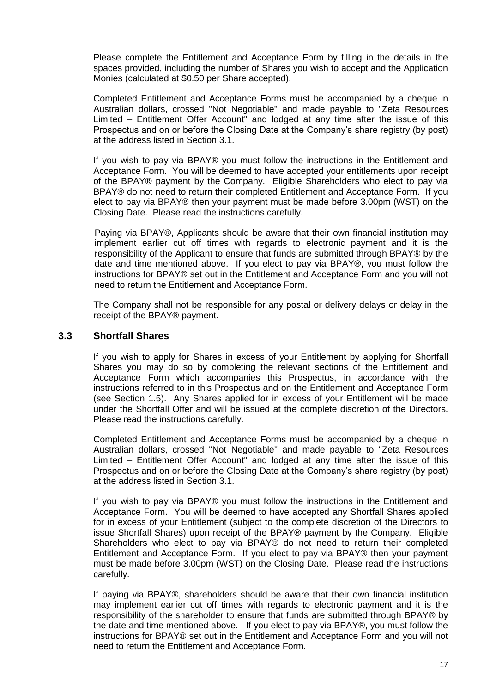Please complete the Entitlement and Acceptance Form by filling in the details in the spaces provided, including the number of Shares you wish to accept and the Application Monies (calculated at \$0.50 per Share accepted).

Completed Entitlement and Acceptance Forms must be accompanied by a cheque in Australian dollars, crossed "Not Negotiable" and made payable to "Zeta Resources Limited – Entitlement Offer Account" and lodged at any time after the issue of this Prospectus and on or before the Closing Date at the Company's share registry (by post) at the address listed in Section [3.1.](#page-15-1)

If you wish to pay via BPAY® you must follow the instructions in the Entitlement and Acceptance Form. You will be deemed to have accepted your entitlements upon receipt of the BPAY® payment by the Company. Eligible Shareholders who elect to pay via BPAY® do not need to return their completed Entitlement and Acceptance Form. If you elect to pay via BPAY® then your payment must be made before 3.00pm (WST) on the Closing Date. Please read the instructions carefully.

Paying via BPAY®, Applicants should be aware that their own financial institution may implement earlier cut off times with regards to electronic payment and it is the responsibility of the Applicant to ensure that funds are submitted through BPAY® by the date and time mentioned above. If you elect to pay via BPAY®, you must follow the instructions for BPAY® set out in the Entitlement and Acceptance Form and you will not need to return the Entitlement and Acceptance Form.

The Company shall not be responsible for any postal or delivery delays or delay in the receipt of the BPAY® payment.

#### **3.3 Shortfall Shares**

If you wish to apply for Shares in excess of your Entitlement by applying for Shortfall Shares you may do so by completing the relevant sections of the Entitlement and Acceptance Form which accompanies this Prospectus, in accordance with the instructions referred to in this Prospectus and on the Entitlement and Acceptance Form (see Section [1.5\)](#page-9-1). Any Shares applied for in excess of your Entitlement will be made under the Shortfall Offer and will be issued at the complete discretion of the Directors. Please read the instructions carefully.

Completed Entitlement and Acceptance Forms must be accompanied by a cheque in Australian dollars, crossed "Not Negotiable" and made payable to "Zeta Resources Limited – Entitlement Offer Account" and lodged at any time after the issue of this Prospectus and on or before the Closing Date at the Company's share registry (by post) at the address listed in Section [3.1.](#page-15-1)

If you wish to pay via BPAY® you must follow the instructions in the Entitlement and Acceptance Form. You will be deemed to have accepted any Shortfall Shares applied for in excess of your Entitlement (subject to the complete discretion of the Directors to issue Shortfall Shares) upon receipt of the BPAY® payment by the Company. Eligible Shareholders who elect to pay via BPAY® do not need to return their completed Entitlement and Acceptance Form. If you elect to pay via BPAY® then your payment must be made before 3.00pm (WST) on the Closing Date. Please read the instructions carefully.

If paying via BPAY®, shareholders should be aware that their own financial institution may implement earlier cut off times with regards to electronic payment and it is the responsibility of the shareholder to ensure that funds are submitted through BPAY® by the date and time mentioned above. If you elect to pay via BPAY®, you must follow the instructions for BPAY® set out in the Entitlement and Acceptance Form and you will not need to return the Entitlement and Acceptance Form.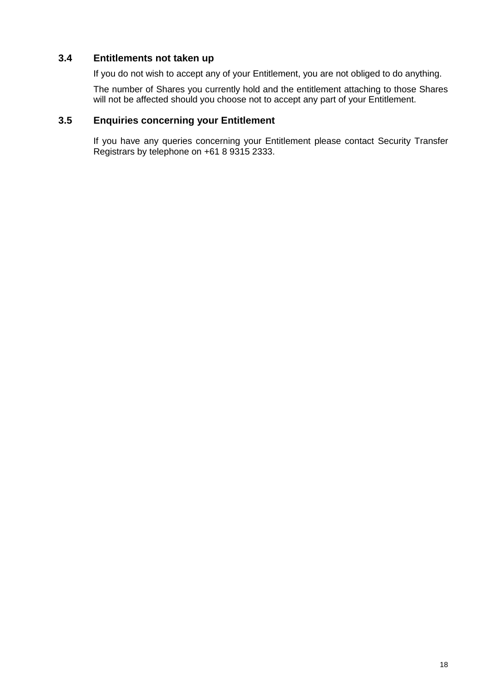#### **3.4 Entitlements not taken up**

If you do not wish to accept any of your Entitlement, you are not obliged to do anything.

The number of Shares you currently hold and the entitlement attaching to those Shares will not be affected should you choose not to accept any part of your Entitlement.

#### <span id="page-17-0"></span>**3.5 Enquiries concerning your Entitlement**

If you have any queries concerning your Entitlement please contact Security Transfer Registrars by telephone on +61 8 9315 2333.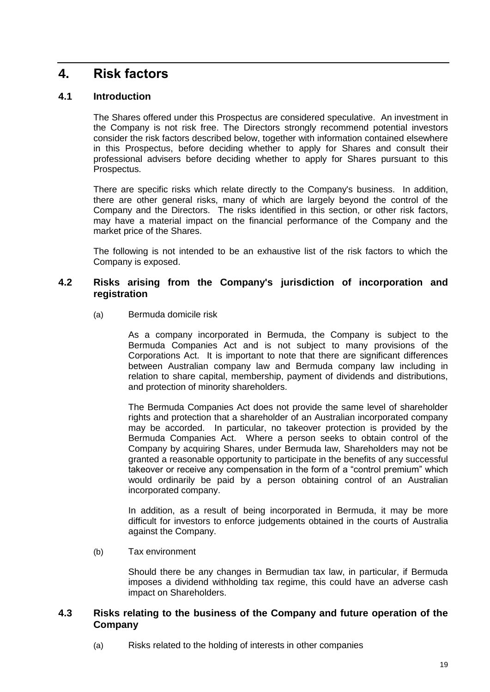### <span id="page-18-2"></span>**4. Risk factors**

#### **4.1 Introduction**

The Shares offered under this Prospectus are considered speculative. An investment in the Company is not risk free. The Directors strongly recommend potential investors consider the risk factors described below, together with information contained elsewhere in this Prospectus, before deciding whether to apply for Shares and consult their professional advisers before deciding whether to apply for Shares pursuant to this Prospectus.

There are specific risks which relate directly to the Company's business. In addition, there are other general risks, many of which are largely beyond the control of the Company and the Directors. The risks identified in this section, or other risk factors, may have a material impact on the financial performance of the Company and the market price of the Shares.

The following is not intended to be an exhaustive list of the risk factors to which the Company is exposed.

#### <span id="page-18-0"></span>**4.2 Risks arising from the Company's jurisdiction of incorporation and registration**

(a) Bermuda domicile risk

As a company incorporated in Bermuda, the Company is subject to the Bermuda Companies Act and is not subject to many provisions of the Corporations Act. It is important to note that there are significant differences between Australian company law and Bermuda company law including in relation to share capital, membership, payment of dividends and distributions, and protection of minority shareholders.

The Bermuda Companies Act does not provide the same level of shareholder rights and protection that a shareholder of an Australian incorporated company may be accorded. In particular, no takeover protection is provided by the Bermuda Companies Act. Where a person seeks to obtain control of the Company by acquiring Shares, under Bermuda law, Shareholders may not be granted a reasonable opportunity to participate in the benefits of any successful takeover or receive any compensation in the form of a "control premium" which would ordinarily be paid by a person obtaining control of an Australian incorporated company.

In addition, as a result of being incorporated in Bermuda, it may be more difficult for investors to enforce judgements obtained in the courts of Australia against the Company.

(b) Tax environment

Should there be any changes in Bermudian tax law, in particular, if Bermuda imposes a dividend withholding tax regime, this could have an adverse cash impact on Shareholders.

#### <span id="page-18-1"></span>**4.3 Risks relating to the business of the Company and future operation of the Company**

(a) Risks related to the holding of interests in other companies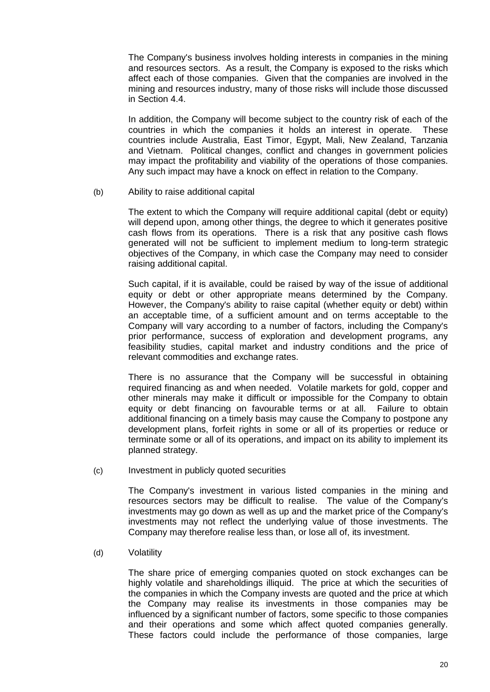The Company's business involves holding interests in companies in the mining and resources sectors. As a result, the Company is exposed to the risks which affect each of those companies. Given that the companies are involved in the mining and resources industry, many of those risks will include those discussed in Section [4.4.](#page-20-1)

In addition, the Company will become subject to the country risk of each of the countries in which the companies it holds an interest in operate. These countries include Australia, East Timor, Egypt, Mali, New Zealand, Tanzania and Vietnam. Political changes, conflict and changes in government policies may impact the profitability and viability of the operations of those companies. Any such impact may have a knock on effect in relation to the Company.

(b) Ability to raise additional capital

The extent to which the Company will require additional capital (debt or equity) will depend upon, among other things, the degree to which it generates positive cash flows from its operations. There is a risk that any positive cash flows generated will not be sufficient to implement medium to long-term strategic objectives of the Company, in which case the Company may need to consider raising additional capital.

Such capital, if it is available, could be raised by way of the issue of additional equity or debt or other appropriate means determined by the Company. However, the Company's ability to raise capital (whether equity or debt) within an acceptable time, of a sufficient amount and on terms acceptable to the Company will vary according to a number of factors, including the Company's prior performance, success of exploration and development programs, any feasibility studies, capital market and industry conditions and the price of relevant commodities and exchange rates.

There is no assurance that the Company will be successful in obtaining required financing as and when needed. Volatile markets for gold, copper and other minerals may make it difficult or impossible for the Company to obtain equity or debt financing on favourable terms or at all. Failure to obtain additional financing on a timely basis may cause the Company to postpone any development plans, forfeit rights in some or all of its properties or reduce or terminate some or all of its operations, and impact on its ability to implement its planned strategy.

<span id="page-19-0"></span>(c) Investment in publicly quoted securities

The Company's investment in various listed companies in the mining and resources sectors may be difficult to realise. The value of the Company's investments may go down as well as up and the market price of the Company's investments may not reflect the underlying value of those investments. The Company may therefore realise less than, or lose all of, its investment.

(d) Volatility

The share price of emerging companies quoted on stock exchanges can be highly volatile and shareholdings illiquid. The price at which the securities of the companies in which the Company invests are quoted and the price at which the Company may realise its investments in those companies may be influenced by a significant number of factors, some specific to those companies and their operations and some which affect quoted companies generally. These factors could include the performance of those companies, large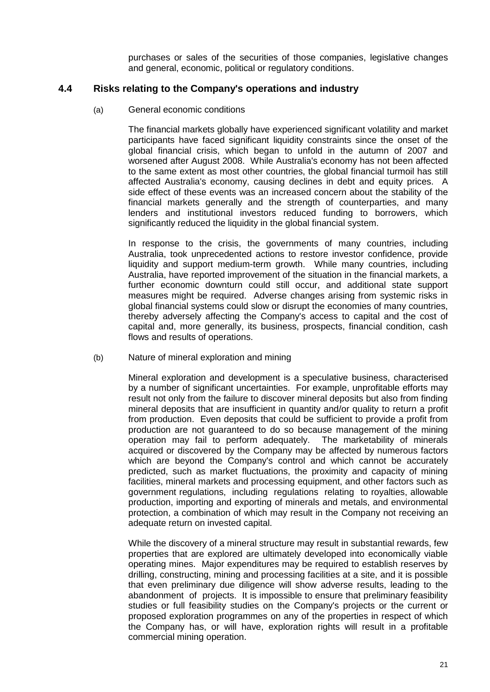purchases or sales of the securities of those companies, legislative changes and general, economic, political or regulatory conditions.

#### <span id="page-20-1"></span>**4.4 Risks relating to the Company's operations and industry**

(a) General economic conditions

The financial markets globally have experienced significant volatility and market participants have faced significant liquidity constraints since the onset of the global financial crisis, which began to unfold in the autumn of 2007 and worsened after August 2008. While Australia's economy has not been affected to the same extent as most other countries, the global financial turmoil has still affected Australia's economy, causing declines in debt and equity prices. A side effect of these events was an increased concern about the stability of the financial markets generally and the strength of counterparties, and many lenders and institutional investors reduced funding to borrowers, which significantly reduced the liquidity in the global financial system.

In response to the crisis, the governments of many countries, including Australia, took unprecedented actions to restore investor confidence, provide liquidity and support medium-term growth. While many countries, including Australia, have reported improvement of the situation in the financial markets, a further economic downturn could still occur, and additional state support measures might be required. Adverse changes arising from systemic risks in global financial systems could slow or disrupt the economies of many countries, thereby adversely affecting the Company's access to capital and the cost of capital and, more generally, its business, prospects, financial condition, cash flows and results of operations.

<span id="page-20-0"></span>(b) Nature of mineral exploration and mining

Mineral exploration and development is a speculative business, characterised by a number of significant uncertainties. For example, unprofitable efforts may result not only from the failure to discover mineral deposits but also from finding mineral deposits that are insufficient in quantity and/or quality to return a profit from production. Even deposits that could be sufficient to provide a profit from production are not guaranteed to do so because management of the mining operation may fail to perform adequately. The marketability of minerals acquired or discovered by the Company may be affected by numerous factors which are beyond the Company's control and which cannot be accurately predicted, such as market fluctuations, the proximity and capacity of mining facilities, mineral markets and processing equipment, and other factors such as government regulations, including regulations relating to royalties, allowable production, importing and exporting of minerals and metals, and environmental protection, a combination of which may result in the Company not receiving an adequate return on invested capital.

While the discovery of a mineral structure may result in substantial rewards, few properties that are explored are ultimately developed into economically viable operating mines. Major expenditures may be required to establish reserves by drilling, constructing, mining and processing facilities at a site, and it is possible that even preliminary due diligence will show adverse results, leading to the abandonment of projects. It is impossible to ensure that preliminary feasibility studies or full feasibility studies on the Company's projects or the current or proposed exploration programmes on any of the properties in respect of which the Company has, or will have, exploration rights will result in a profitable commercial mining operation.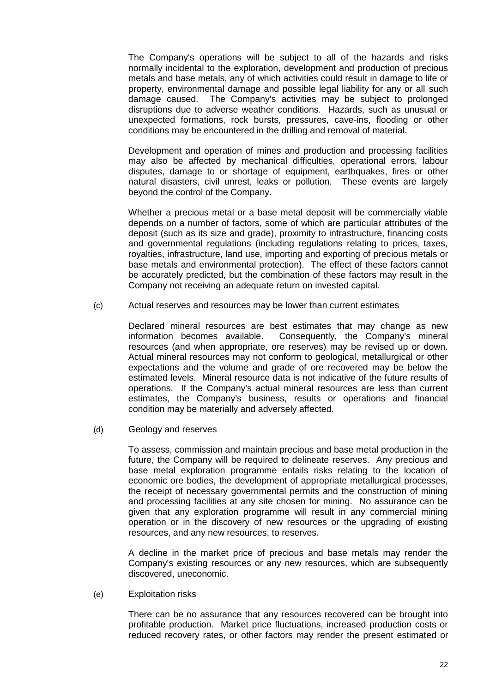The Company's operations will be subject to all of the hazards and risks normally incidental to the exploration, development and production of precious metals and base metals, any of which activities could result in damage to life or property, environmental damage and possible legal liability for any or all such damage caused. The Company's activities may be subject to prolonged disruptions due to adverse weather conditions. Hazards, such as unusual or unexpected formations, rock bursts, pressures, cave-ins, flooding or other conditions may be encountered in the drilling and removal of material.

Development and operation of mines and production and processing facilities may also be affected by mechanical difficulties, operational errors, labour disputes, damage to or shortage of equipment, earthquakes, fires or other natural disasters, civil unrest, leaks or pollution. These events are largely beyond the control of the Company.

Whether a precious metal or a base metal deposit will be commercially viable depends on a number of factors, some of which are particular attributes of the deposit (such as its size and grade), proximity to infrastructure, financing costs and governmental regulations (including regulations relating to prices, taxes, royalties, infrastructure, land use, importing and exporting of precious metals or base metals and environmental protection). The effect of these factors cannot be accurately predicted, but the combination of these factors may result in the Company not receiving an adequate return on invested capital.

(c) Actual reserves and resources may be lower than current estimates

Declared mineral resources are best estimates that may change as new information becomes available. Consequently, the Company's mineral resources (and when appropriate, ore reserves) may be revised up or down. Actual mineral resources may not conform to geological, metallurgical or other expectations and the volume and grade of ore recovered may be below the estimated levels. Mineral resource data is not indicative of the future results of operations. If the Company's actual mineral resources are less than current estimates, the Company's business, results or operations and financial condition may be materially and adversely affected.

(d) Geology and reserves

To assess, commission and maintain precious and base metal production in the future, the Company will be required to delineate reserves. Any precious and base metal exploration programme entails risks relating to the location of economic ore bodies, the development of appropriate metallurgical processes, the receipt of necessary governmental permits and the construction of mining and processing facilities at any site chosen for mining. No assurance can be given that any exploration programme will result in any commercial mining operation or in the discovery of new resources or the upgrading of existing resources, and any new resources, to reserves.

A decline in the market price of precious and base metals may render the Company's existing resources or any new resources, which are subsequently discovered, uneconomic.

<span id="page-21-0"></span>(e) Exploitation risks

There can be no assurance that any resources recovered can be brought into profitable production. Market price fluctuations, increased production costs or reduced recovery rates, or other factors may render the present estimated or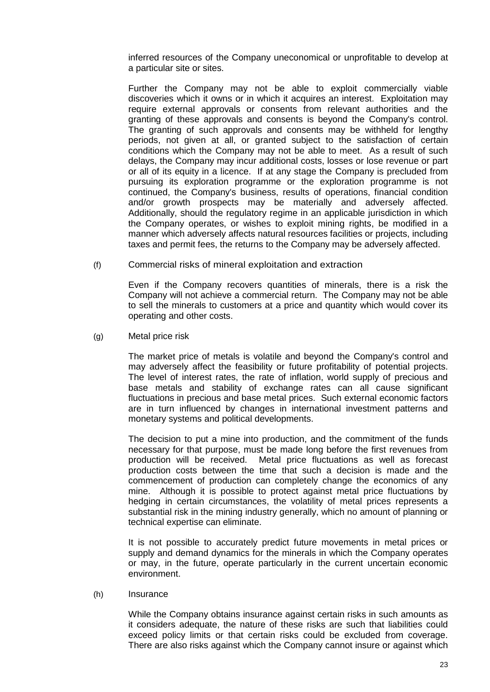inferred resources of the Company uneconomical or unprofitable to develop at a particular site or sites.

Further the Company may not be able to exploit commercially viable discoveries which it owns or in which it acquires an interest. Exploitation may require external approvals or consents from relevant authorities and the granting of these approvals and consents is beyond the Company's control. The granting of such approvals and consents may be withheld for lengthy periods, not given at all, or granted subject to the satisfaction of certain conditions which the Company may not be able to meet. As a result of such delays, the Company may incur additional costs, losses or lose revenue or part or all of its equity in a licence. If at any stage the Company is precluded from pursuing its exploration programme or the exploration programme is not continued, the Company's business, results of operations, financial condition and/or growth prospects may be materially and adversely affected. Additionally, should the regulatory regime in an applicable jurisdiction in which the Company operates, or wishes to exploit mining rights, be modified in a manner which adversely affects natural resources facilities or projects, including taxes and permit fees, the returns to the Company may be adversely affected.

(f) Commercial risks of mineral exploitation and extraction

Even if the Company recovers quantities of minerals, there is a risk the Company will not achieve a commercial return. The Company may not be able to sell the minerals to customers at a price and quantity which would cover its operating and other costs.

<span id="page-22-0"></span>(g) Metal price risk

The market price of metals is volatile and beyond the Company's control and may adversely affect the feasibility or future profitability of potential projects. The level of interest rates, the rate of inflation, world supply of precious and base metals and stability of exchange rates can all cause significant fluctuations in precious and base metal prices. Such external economic factors are in turn influenced by changes in international investment patterns and monetary systems and political developments.

The decision to put a mine into production, and the commitment of the funds necessary for that purpose, must be made long before the first revenues from production will be received. Metal price fluctuations as well as forecast production costs between the time that such a decision is made and the commencement of production can completely change the economics of any mine. Although it is possible to protect against metal price fluctuations by hedging in certain circumstances, the volatility of metal prices represents a substantial risk in the mining industry generally, which no amount of planning or technical expertise can eliminate.

It is not possible to accurately predict future movements in metal prices or supply and demand dynamics for the minerals in which the Company operates or may, in the future, operate particularly in the current uncertain economic environment.

#### (h) Insurance

While the Company obtains insurance against certain risks in such amounts as it considers adequate, the nature of these risks are such that liabilities could exceed policy limits or that certain risks could be excluded from coverage. There are also risks against which the Company cannot insure or against which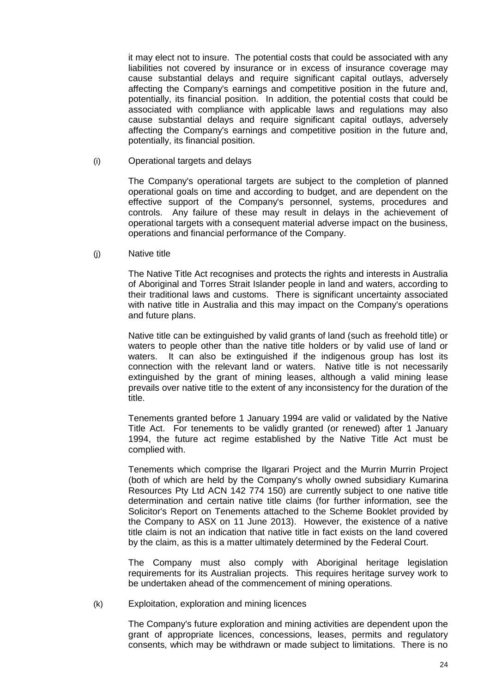it may elect not to insure. The potential costs that could be associated with any liabilities not covered by insurance or in excess of insurance coverage may cause substantial delays and require significant capital outlays, adversely affecting the Company's earnings and competitive position in the future and, potentially, its financial position. In addition, the potential costs that could be associated with compliance with applicable laws and regulations may also cause substantial delays and require significant capital outlays, adversely affecting the Company's earnings and competitive position in the future and, potentially, its financial position.

(i) Operational targets and delays

The Company's operational targets are subject to the completion of planned operational goals on time and according to budget, and are dependent on the effective support of the Company's personnel, systems, procedures and controls. Any failure of these may result in delays in the achievement of operational targets with a consequent material adverse impact on the business, operations and financial performance of the Company.

<span id="page-23-0"></span>(j) Native title

The Native Title Act recognises and protects the rights and interests in Australia of Aboriginal and Torres Strait Islander people in land and waters, according to their traditional laws and customs. There is significant uncertainty associated with native title in Australia and this may impact on the Company's operations and future plans.

Native title can be extinguished by valid grants of land (such as freehold title) or waters to people other than the native title holders or by valid use of land or waters. It can also be extinguished if the indigenous group has lost its connection with the relevant land or waters. Native title is not necessarily extinguished by the grant of mining leases, although a valid mining lease prevails over native title to the extent of any inconsistency for the duration of the title.

Tenements granted before 1 January 1994 are valid or validated by the Native Title Act. For tenements to be validly granted (or renewed) after 1 January 1994, the future act regime established by the Native Title Act must be complied with.

Tenements which comprise the Ilgarari Project and the Murrin Murrin Project (both of which are held by the Company's wholly owned subsidiary Kumarina Resources Pty Ltd ACN 142 774 150) are currently subject to one native title determination and certain native title claims (for further information, see the Solicitor's Report on Tenements attached to the Scheme Booklet provided by the Company to ASX on 11 June 2013). However, the existence of a native title claim is not an indication that native title in fact exists on the land covered by the claim, as this is a matter ultimately determined by the Federal Court.

The Company must also comply with Aboriginal heritage legislation requirements for its Australian projects. This requires heritage survey work to be undertaken ahead of the commencement of mining operations.

(k) Exploitation, exploration and mining licences

The Company's future exploration and mining activities are dependent upon the grant of appropriate licences, concessions, leases, permits and regulatory consents, which may be withdrawn or made subject to limitations. There is no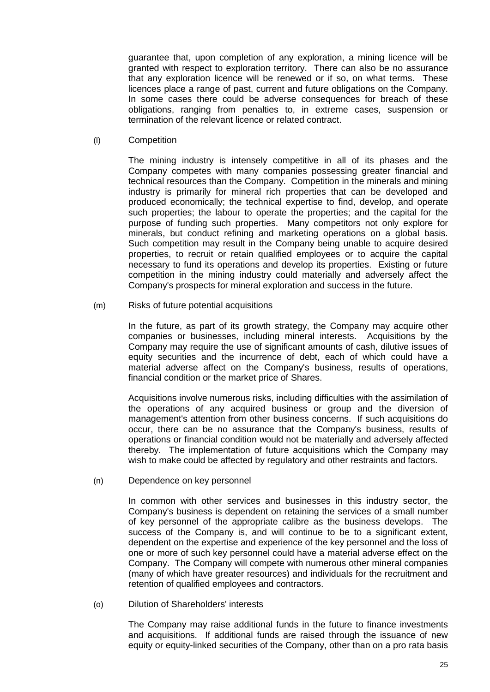guarantee that, upon completion of any exploration, a mining licence will be granted with respect to exploration territory. There can also be no assurance that any exploration licence will be renewed or if so, on what terms. These licences place a range of past, current and future obligations on the Company. In some cases there could be adverse consequences for breach of these obligations, ranging from penalties to, in extreme cases, suspension or termination of the relevant licence or related contract.

(l) Competition

The mining industry is intensely competitive in all of its phases and the Company competes with many companies possessing greater financial and technical resources than the Company. Competition in the minerals and mining industry is primarily for mineral rich properties that can be developed and produced economically; the technical expertise to find, develop, and operate such properties; the labour to operate the properties; and the capital for the purpose of funding such properties. Many competitors not only explore for minerals, but conduct refining and marketing operations on a global basis. Such competition may result in the Company being unable to acquire desired properties, to recruit or retain qualified employees or to acquire the capital necessary to fund its operations and develop its properties. Existing or future competition in the mining industry could materially and adversely affect the Company's prospects for mineral exploration and success in the future.

(m) Risks of future potential acquisitions

In the future, as part of its growth strategy, the Company may acquire other companies or businesses, including mineral interests. Acquisitions by the Company may require the use of significant amounts of cash, dilutive issues of equity securities and the incurrence of debt, each of which could have a material adverse affect on the Company's business, results of operations, financial condition or the market price of Shares.

Acquisitions involve numerous risks, including difficulties with the assimilation of the operations of any acquired business or group and the diversion of management's attention from other business concerns. If such acquisitions do occur, there can be no assurance that the Company's business, results of operations or financial condition would not be materially and adversely affected thereby. The implementation of future acquisitions which the Company may wish to make could be affected by regulatory and other restraints and factors.

(n) Dependence on key personnel

In common with other services and businesses in this industry sector, the Company's business is dependent on retaining the services of a small number of key personnel of the appropriate calibre as the business develops. The success of the Company is, and will continue to be to a significant extent, dependent on the expertise and experience of the key personnel and the loss of one or more of such key personnel could have a material adverse effect on the Company. The Company will compete with numerous other mineral companies (many of which have greater resources) and individuals for the recruitment and retention of qualified employees and contractors.

(o) Dilution of Shareholders' interests

The Company may raise additional funds in the future to finance investments and acquisitions. If additional funds are raised through the issuance of new equity or equity-linked securities of the Company, other than on a pro rata basis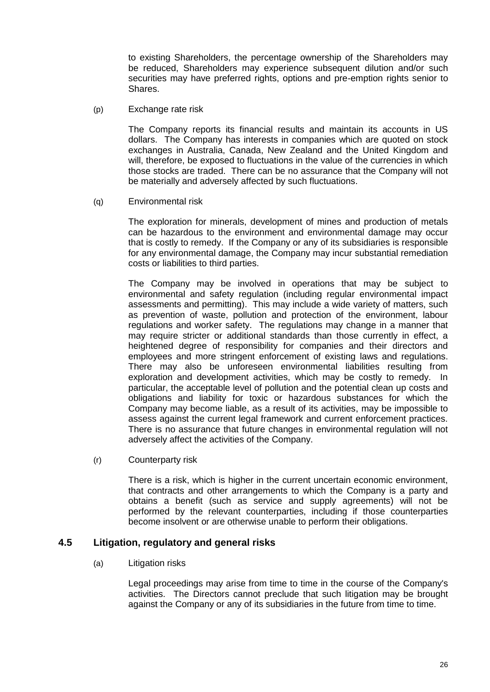to existing Shareholders, the percentage ownership of the Shareholders may be reduced, Shareholders may experience subsequent dilution and/or such securities may have preferred rights, options and pre-emption rights senior to Shares.

(p) Exchange rate risk

The Company reports its financial results and maintain its accounts in US dollars. The Company has interests in companies which are quoted on stock exchanges in Australia, Canada, New Zealand and the United Kingdom and will, therefore, be exposed to fluctuations in the value of the currencies in which those stocks are traded. There can be no assurance that the Company will not be materially and adversely affected by such fluctuations.

(q) Environmental risk

The exploration for minerals, development of mines and production of metals can be hazardous to the environment and environmental damage may occur that is costly to remedy. If the Company or any of its subsidiaries is responsible for any environmental damage, the Company may incur substantial remediation costs or liabilities to third parties.

The Company may be involved in operations that may be subject to environmental and safety regulation (including regular environmental impact assessments and permitting). This may include a wide variety of matters, such as prevention of waste, pollution and protection of the environment, labour regulations and worker safety. The regulations may change in a manner that may require stricter or additional standards than those currently in effect, a heightened degree of responsibility for companies and their directors and employees and more stringent enforcement of existing laws and regulations. There may also be unforeseen environmental liabilities resulting from exploration and development activities, which may be costly to remedy. In particular, the acceptable level of pollution and the potential clean up costs and obligations and liability for toxic or hazardous substances for which the Company may become liable, as a result of its activities, may be impossible to assess against the current legal framework and current enforcement practices. There is no assurance that future changes in environmental regulation will not adversely affect the activities of the Company.

(r) Counterparty risk

There is a risk, which is higher in the current uncertain economic environment, that contracts and other arrangements to which the Company is a party and obtains a benefit (such as service and supply agreements) will not be performed by the relevant counterparties, including if those counterparties become insolvent or are otherwise unable to perform their obligations.

#### **4.5 Litigation, regulatory and general risks**

(a) Litigation risks

Legal proceedings may arise from time to time in the course of the Company's activities. The Directors cannot preclude that such litigation may be brought against the Company or any of its subsidiaries in the future from time to time.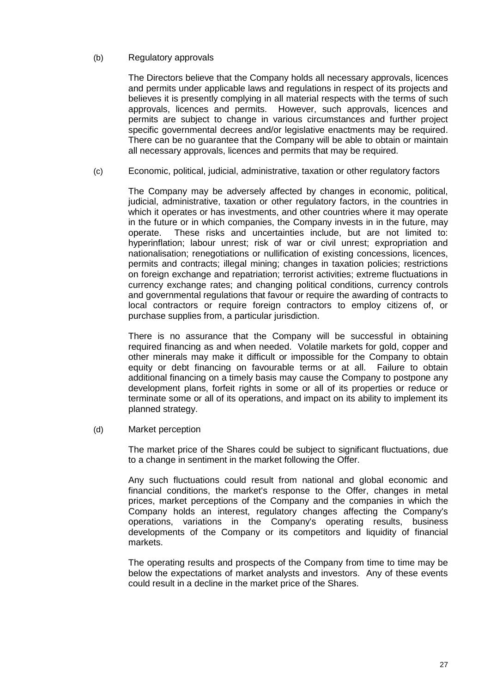#### (b) Regulatory approvals

The Directors believe that the Company holds all necessary approvals, licences and permits under applicable laws and regulations in respect of its projects and believes it is presently complying in all material respects with the terms of such approvals, licences and permits. However, such approvals, licences and permits are subject to change in various circumstances and further project specific governmental decrees and/or legislative enactments may be required. There can be no guarantee that the Company will be able to obtain or maintain all necessary approvals, licences and permits that may be required.

(c) Economic, political, judicial, administrative, taxation or other regulatory factors

The Company may be adversely affected by changes in economic, political, judicial, administrative, taxation or other regulatory factors, in the countries in which it operates or has investments, and other countries where it may operate in the future or in which companies, the Company invests in in the future, may operate. These risks and uncertainties include, but are not limited to: hyperinflation; labour unrest; risk of war or civil unrest; expropriation and nationalisation; renegotiations or nullification of existing concessions, licences, permits and contracts; illegal mining; changes in taxation policies; restrictions on foreign exchange and repatriation; terrorist activities; extreme fluctuations in currency exchange rates; and changing political conditions, currency controls and governmental regulations that favour or require the awarding of contracts to local contractors or require foreign contractors to employ citizens of, or purchase supplies from, a particular jurisdiction.

There is no assurance that the Company will be successful in obtaining required financing as and when needed. Volatile markets for gold, copper and other minerals may make it difficult or impossible for the Company to obtain equity or debt financing on favourable terms or at all. Failure to obtain additional financing on a timely basis may cause the Company to postpone any development plans, forfeit rights in some or all of its properties or reduce or terminate some or all of its operations, and impact on its ability to implement its planned strategy.

(d) Market perception

The market price of the Shares could be subject to significant fluctuations, due to a change in sentiment in the market following the Offer.

Any such fluctuations could result from national and global economic and financial conditions, the market's response to the Offer, changes in metal prices, market perceptions of the Company and the companies in which the Company holds an interest, regulatory changes affecting the Company's operations, variations in the Company's operating results, business developments of the Company or its competitors and liquidity of financial markets.

The operating results and prospects of the Company from time to time may be below the expectations of market analysts and investors. Any of these events could result in a decline in the market price of the Shares.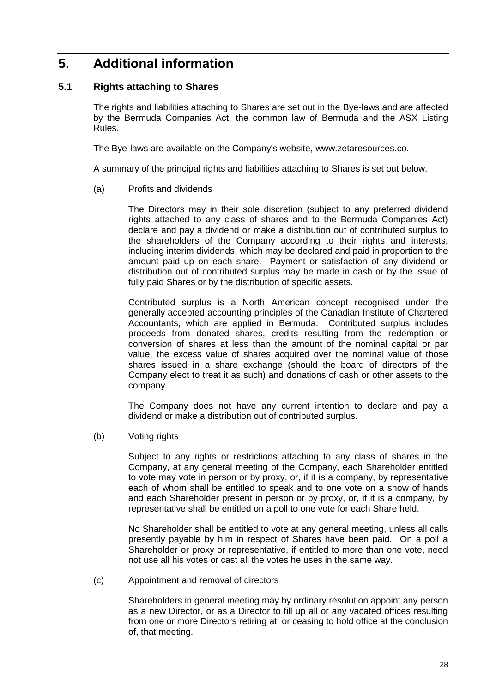## <span id="page-27-0"></span>**5. Additional information**

#### <span id="page-27-1"></span>**5.1 Rights attaching to Shares**

The rights and liabilities attaching to Shares are set out in the Bye-laws and are affected by the Bermuda Companies Act, the common law of Bermuda and the ASX Listing Rules.

The Bye-laws are available on the Company's website, www.zetaresources.co.

A summary of the principal rights and liabilities attaching to Shares is set out below.

(a) Profits and dividends

The Directors may in their sole discretion (subject to any preferred dividend rights attached to any class of shares and to the Bermuda Companies Act) declare and pay a dividend or make a distribution out of contributed surplus to the shareholders of the Company according to their rights and interests, including interim dividends, which may be declared and paid in proportion to the amount paid up on each share. Payment or satisfaction of any dividend or distribution out of contributed surplus may be made in cash or by the issue of fully paid Shares or by the distribution of specific assets.

Contributed surplus is a North American concept recognised under the generally accepted accounting principles of the Canadian Institute of Chartered Accountants, which are applied in Bermuda. Contributed surplus includes proceeds from donated shares, credits resulting from the redemption or conversion of shares at less than the amount of the nominal capital or par value, the excess value of shares acquired over the nominal value of those shares issued in a share exchange (should the board of directors of the Company elect to treat it as such) and donations of cash or other assets to the company.

The Company does not have any current intention to declare and pay a dividend or make a distribution out of contributed surplus.

(b) Voting rights

Subject to any rights or restrictions attaching to any class of shares in the Company, at any general meeting of the Company, each Shareholder entitled to vote may vote in person or by proxy, or, if it is a company, by representative each of whom shall be entitled to speak and to one vote on a show of hands and each Shareholder present in person or by proxy, or, if it is a company, by representative shall be entitled on a poll to one vote for each Share held.

No Shareholder shall be entitled to vote at any general meeting, unless all calls presently payable by him in respect of Shares have been paid. On a poll a Shareholder or proxy or representative, if entitled to more than one vote, need not use all his votes or cast all the votes he uses in the same way.

#### (c) Appointment and removal of directors

Shareholders in general meeting may by ordinary resolution appoint any person as a new Director, or as a Director to fill up all or any vacated offices resulting from one or more Directors retiring at, or ceasing to hold office at the conclusion of, that meeting.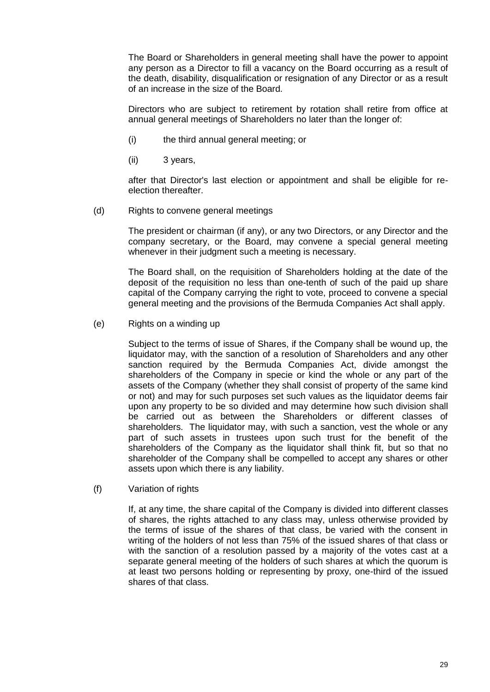The Board or Shareholders in general meeting shall have the power to appoint any person as a Director to fill a vacancy on the Board occurring as a result of the death, disability, disqualification or resignation of any Director or as a result of an increase in the size of the Board.

Directors who are subject to retirement by rotation shall retire from office at annual general meetings of Shareholders no later than the longer of:

- (i) the third annual general meeting; or
- (ii) 3 years,

after that Director's last election or appointment and shall be eligible for reelection thereafter.

(d) Rights to convene general meetings

The president or chairman (if any), or any two Directors, or any Director and the company secretary, or the Board, may convene a special general meeting whenever in their judgment such a meeting is necessary.

The Board shall, on the requisition of Shareholders holding at the date of the deposit of the requisition no less than one-tenth of such of the paid up share capital of the Company carrying the right to vote, proceed to convene a special general meeting and the provisions of the Bermuda Companies Act shall apply.

(e) Rights on a winding up

Subject to the terms of issue of Shares, if the Company shall be wound up, the liquidator may, with the sanction of a resolution of Shareholders and any other sanction required by the Bermuda Companies Act, divide amongst the shareholders of the Company in specie or kind the whole or any part of the assets of the Company (whether they shall consist of property of the same kind or not) and may for such purposes set such values as the liquidator deems fair upon any property to be so divided and may determine how such division shall be carried out as between the Shareholders or different classes of shareholders. The liquidator may, with such a sanction, vest the whole or any part of such assets in trustees upon such trust for the benefit of the shareholders of the Company as the liquidator shall think fit, but so that no shareholder of the Company shall be compelled to accept any shares or other assets upon which there is any liability.

(f) Variation of rights

If, at any time, the share capital of the Company is divided into different classes of shares, the rights attached to any class may, unless otherwise provided by the terms of issue of the shares of that class, be varied with the consent in writing of the holders of not less than 75% of the issued shares of that class or with the sanction of a resolution passed by a majority of the votes cast at a separate general meeting of the holders of such shares at which the quorum is at least two persons holding or representing by proxy, one-third of the issued shares of that class.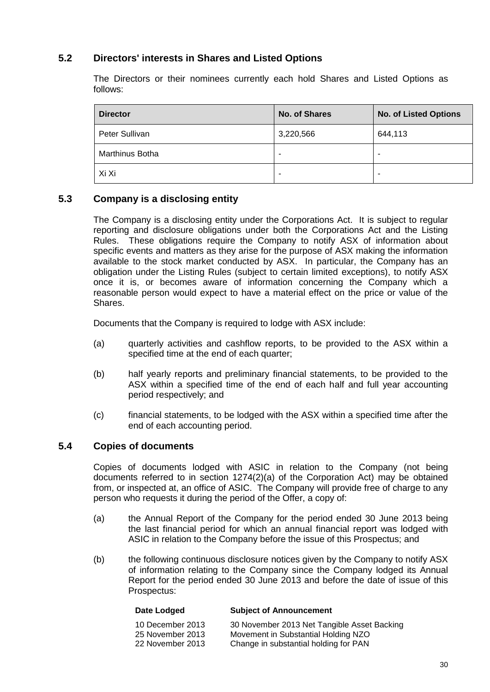#### **5.2 Directors' interests in Shares and Listed Options**

The Directors or their nominees currently each hold Shares and Listed Options as follows:

| <b>Director</b> | <b>No. of Shares</b> | <b>No. of Listed Options</b> |
|-----------------|----------------------|------------------------------|
| Peter Sullivan  | 3,220,566            | 644,113                      |
| Marthinus Botha | -                    | $\overline{\phantom{0}}$     |
| Xi Xi           | ۰                    |                              |

#### **5.3 Company is a disclosing entity**

The Company is a disclosing entity under the Corporations Act. It is subject to regular reporting and disclosure obligations under both the Corporations Act and the Listing Rules. These obligations require the Company to notify ASX of information about specific events and matters as they arise for the purpose of ASX making the information available to the stock market conducted by ASX. In particular, the Company has an obligation under the Listing Rules (subject to certain limited exceptions), to notify ASX once it is, or becomes aware of information concerning the Company which a reasonable person would expect to have a material effect on the price or value of the Shares.

Documents that the Company is required to lodge with ASX include:

- (a) quarterly activities and cashflow reports, to be provided to the ASX within a specified time at the end of each quarter;
- (b) half yearly reports and preliminary financial statements, to be provided to the ASX within a specified time of the end of each half and full year accounting period respectively; and
- (c) financial statements, to be lodged with the ASX within a specified time after the end of each accounting period.

#### <span id="page-29-0"></span>**5.4 Copies of documents**

Copies of documents lodged with ASIC in relation to the Company (not being documents referred to in section 1274(2)(a) of the Corporation Act) may be obtained from, or inspected at, an office of ASIC. The Company will provide free of charge to any person who requests it during the period of the Offer, a copy of:

- (a) the Annual Report of the Company for the period ended 30 June 2013 being the last financial period for which an annual financial report was lodged with ASIC in relation to the Company before the issue of this Prospectus; and
- (b) the following continuous disclosure notices given by the Company to notify ASX of information relating to the Company since the Company lodged its Annual Report for the period ended 30 June 2013 and before the date of issue of this Prospectus:

| Subject of Announcement                     |
|---------------------------------------------|
| 30 November 2013 Net Tangible Asset Backing |
| Movement in Substantial Holding NZO         |
| Change in substantial holding for PAN       |
|                                             |

**Date Lodged Subject of Announcement**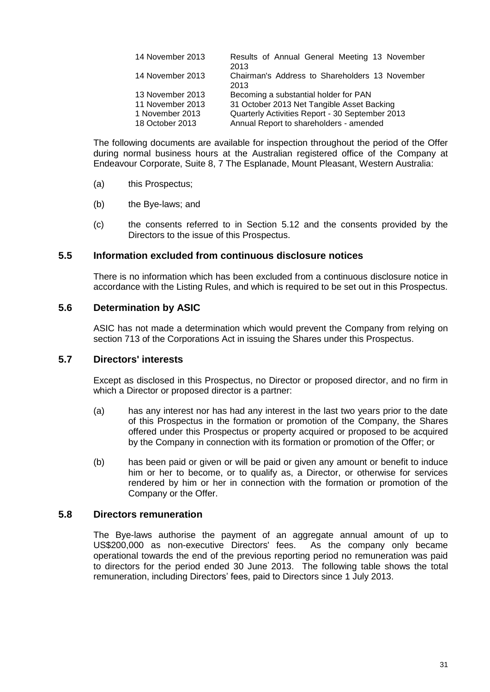| 14 November 2013 | Results of Annual General Meeting 13 November<br>2013  |
|------------------|--------------------------------------------------------|
| 14 November 2013 | Chairman's Address to Shareholders 13 November<br>2013 |
| 13 November 2013 | Becoming a substantial holder for PAN                  |
| 11 November 2013 | 31 October 2013 Net Tangible Asset Backing             |
| 1 November 2013  | Quarterly Activities Report - 30 September 2013        |
| 18 October 2013  | Annual Report to shareholders - amended                |

The following documents are available for inspection throughout the period of the Offer during normal business hours at the Australian registered office of the Company at Endeavour Corporate, Suite 8, 7 The Esplanade, Mount Pleasant, Western Australia:

- (a) this Prospectus;
- (b) the Bye-laws; and
- (c) the consents referred to in Section [5.12](#page-32-0) and the consents provided by the Directors to the issue of this Prospectus.

#### **5.5 Information excluded from continuous disclosure notices**

There is no information which has been excluded from a continuous disclosure notice in accordance with the Listing Rules, and which is required to be set out in this Prospectus.

#### **5.6 Determination by ASIC**

ASIC has not made a determination which would prevent the Company from relying on section 713 of the Corporations Act in issuing the Shares under this Prospectus.

#### **5.7 Directors' interests**

Except as disclosed in this Prospectus, no Director or proposed director, and no firm in which a Director or proposed director is a partner:

- (a) has any interest nor has had any interest in the last two years prior to the date of this Prospectus in the formation or promotion of the Company, the Shares offered under this Prospectus or property acquired or proposed to be acquired by the Company in connection with its formation or promotion of the Offer; or
- (b) has been paid or given or will be paid or given any amount or benefit to induce him or her to become, or to qualify as, a Director, or otherwise for services rendered by him or her in connection with the formation or promotion of the Company or the Offer.

#### **5.8 Directors remuneration**

The Bye-laws authorise the payment of an aggregate annual amount of up to US\$200,000 as non-executive Directors' fees. As the company only became US\$200,000 as non-executive Directors' fees. operational towards the end of the previous reporting period no remuneration was paid to directors for the period ended 30 June 2013. The following table shows the total remuneration, including Directors' fees, paid to Directors since 1 July 2013.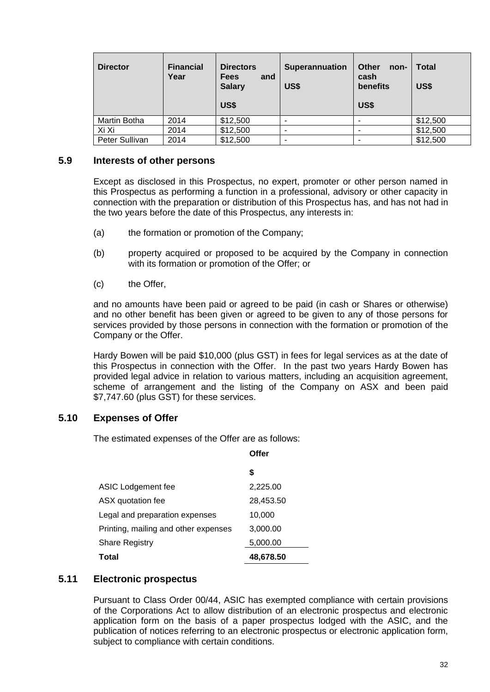| <b>Director</b> | <b>Financial</b><br>Year | <b>Directors</b><br><b>Fees</b><br>and<br><b>Salary</b><br><b>US\$</b> | <b>Superannuation</b><br>US\$ | <b>Other</b><br>non-<br>cash<br>benefits<br><b>US\$</b> | <b>Total</b><br>US\$ |
|-----------------|--------------------------|------------------------------------------------------------------------|-------------------------------|---------------------------------------------------------|----------------------|
| Martin Botha    | 2014                     | \$12,500                                                               | -                             |                                                         | \$12,500             |
| Xi Xi           | 2014                     | \$12,500                                                               | -                             |                                                         | \$12,500             |
| Peter Sullivan  | 2014                     | \$12,500                                                               | -                             |                                                         | \$12,500             |

#### **5.9 Interests of other persons**

Except as disclosed in this Prospectus, no expert, promoter or other person named in this Prospectus as performing a function in a professional, advisory or other capacity in connection with the preparation or distribution of this Prospectus has, and has not had in the two years before the date of this Prospectus, any interests in:

- (a) the formation or promotion of the Company;
- (b) property acquired or proposed to be acquired by the Company in connection with its formation or promotion of the Offer; or
- (c) the Offer,

and no amounts have been paid or agreed to be paid (in cash or Shares or otherwise) and no other benefit has been given or agreed to be given to any of those persons for services provided by those persons in connection with the formation or promotion of the Company or the Offer.

Hardy Bowen will be paid \$10,000 (plus GST) in fees for legal services as at the date of this Prospectus in connection with the Offer. In the past two years Hardy Bowen has provided legal advice in relation to various matters, including an acquisition agreement, scheme of arrangement and the listing of the Company on ASX and been paid \$7,747.60 (plus GST) for these services.

**Offer**

#### <span id="page-31-0"></span>**5.10 Expenses of Offer**

The estimated expenses of the Offer are as follows:

|                                      | S         |
|--------------------------------------|-----------|
| ASIC Lodgement fee                   | 2,225.00  |
| ASX quotation fee                    | 28,453.50 |
| Legal and preparation expenses       | 10,000    |
| Printing, mailing and other expenses | 3,000.00  |
| <b>Share Registry</b>                | 5,000.00  |
| Total                                | 48,678.50 |

#### **5.11 Electronic prospectus**

Pursuant to Class Order 00/44, ASIC has exempted compliance with certain provisions of the Corporations Act to allow distribution of an electronic prospectus and electronic application form on the basis of a paper prospectus lodged with the ASIC, and the publication of notices referring to an electronic prospectus or electronic application form, subject to compliance with certain conditions.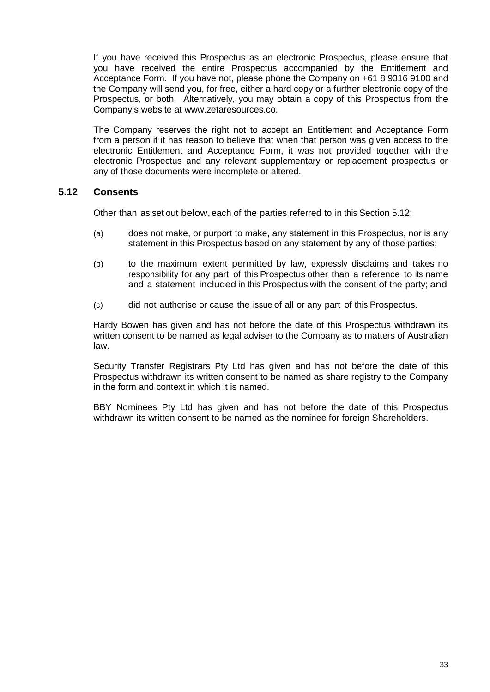If you have received this Prospectus as an electronic Prospectus, please ensure that you have received the entire Prospectus accompanied by the Entitlement and Acceptance Form. If you have not, please phone the Company on +61 8 9316 9100 and the Company will send you, for free, either a hard copy or a further electronic copy of the Prospectus, or both. Alternatively, you may obtain a copy of this Prospectus from the Company's website at www.zetaresources.co.

The Company reserves the right not to accept an Entitlement and Acceptance Form from a person if it has reason to believe that when that person was given access to the electronic Entitlement and Acceptance Form, it was not provided together with the electronic Prospectus and any relevant supplementary or replacement prospectus or any of those documents were incomplete or altered.

#### <span id="page-32-0"></span>**5.12 Consents**

Other than as set out below, each of the parties referred to in this Section [5.12:](#page-32-0)

- (a) does not make, or purport to make, any statement in this Prospectus, nor is any statement in this Prospectus based on any statement by any of those parties;
- (b) to the maximum extent permitted by law, expressly disclaims and takes no responsibility for any part of this Prospectus other than a reference to its name and a statement included in this Prospectus with the consent of the party; and
- (c) did not authorise or cause the issue of all or any part of this Prospectus.

Hardy Bowen has given and has not before the date of this Prospectus withdrawn its written consent to be named as legal adviser to the Company as to matters of Australian law.

Security Transfer Registrars Pty Ltd has given and has not before the date of this Prospectus withdrawn its written consent to be named as share registry to the Company in the form and context in which it is named.

BBY Nominees Pty Ltd has given and has not before the date of this Prospectus withdrawn its written consent to be named as the nominee for foreign Shareholders.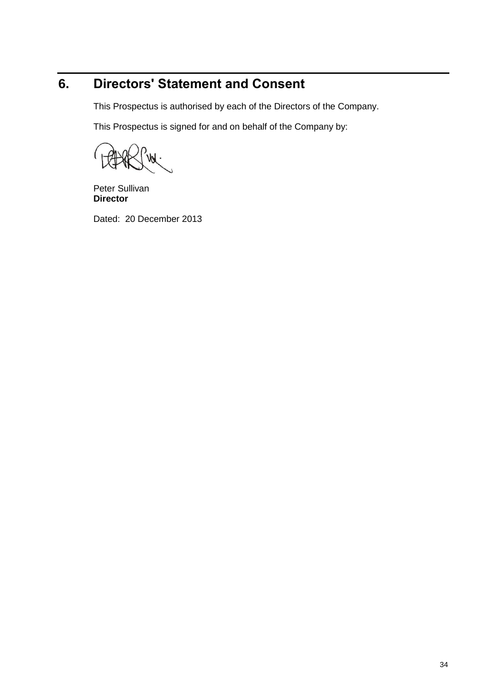# <span id="page-33-0"></span>**6. Directors' Statement and Consent**

This Prospectus is authorised by each of the Directors of the Company.

This Prospectus is signed for and on behalf of the Company by:

Peter Sullivan **Director**

Dated: 20 December 2013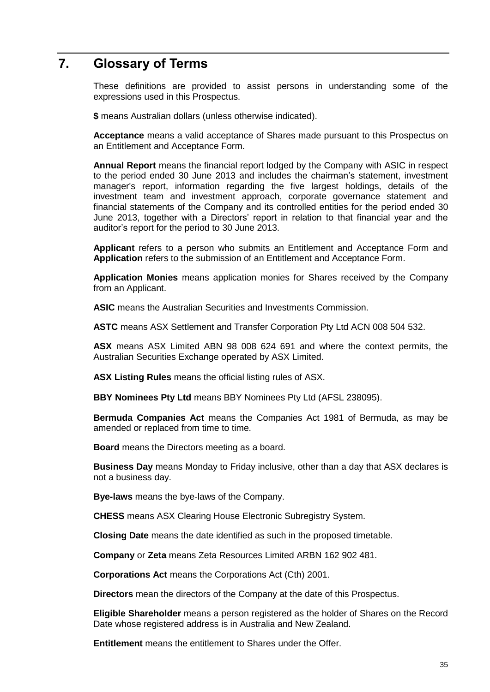## <span id="page-34-0"></span>**7. Glossary of Terms**

These definitions are provided to assist persons in understanding some of the expressions used in this Prospectus.

**\$** means Australian dollars (unless otherwise indicated).

**Acceptance** means a valid acceptance of Shares made pursuant to this Prospectus on an Entitlement and Acceptance Form.

**Annual Report** means the financial report lodged by the Company with ASIC in respect to the period ended 30 June 2013 and includes the chairman's statement, investment manager's report, information regarding the five largest holdings, details of the investment team and investment approach, corporate governance statement and financial statements of the Company and its controlled entities for the period ended 30 June 2013, together with a Directors' report in relation to that financial year and the auditor's report for the period to 30 June 2013.

**Applicant** refers to a person who submits an Entitlement and Acceptance Form and **Application** refers to the submission of an Entitlement and Acceptance Form.

**Application Monies** means application monies for Shares received by the Company from an Applicant.

**ASIC** means the Australian Securities and Investments Commission.

**ASTC** means ASX Settlement and Transfer Corporation Pty Ltd ACN 008 504 532.

**ASX** means ASX Limited ABN 98 008 624 691 and where the context permits, the Australian Securities Exchange operated by ASX Limited.

**ASX Listing Rules** means the official listing rules of ASX.

**BBY Nominees Pty Ltd** means BBY Nominees Pty Ltd (AFSL 238095).

**Bermuda Companies Act** means the Companies Act 1981 of Bermuda, as may be amended or replaced from time to time.

**Board** means the Directors meeting as a board.

**Business Day** means Monday to Friday inclusive, other than a day that ASX declares is not a business day.

**Bye-laws** means the bye-laws of the Company.

**CHESS** means ASX Clearing House Electronic Subregistry System.

**Closing Date** means the date identified as such in the proposed timetable.

**Company** or **Zeta** means Zeta Resources Limited ARBN 162 902 481.

**Corporations Act** means the Corporations Act (Cth) 2001.

**Directors** mean the directors of the Company at the date of this Prospectus.

**Eligible Shareholder** means a person registered as the holder of Shares on the Record Date whose registered address is in Australia and New Zealand.

**Entitlement** means the entitlement to Shares under the Offer.